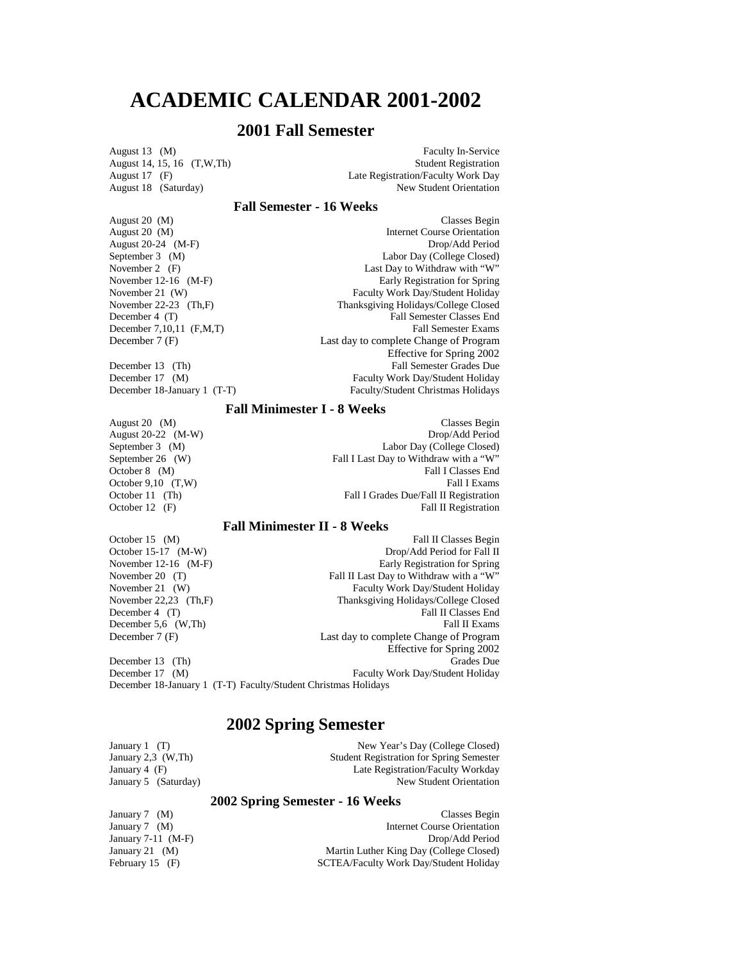# **ACADEMIC CALENDAR 2001-2002**

# **2001 Fall Semester**

August 14, 15, 16  $(T, W, Th)$ <br>August 17  $(F)$ 

August 13 (M) Faculty In-Service<br>August 14, 15, 16 (T,W,Th) Faculty In-Service<br>Student Registration August 17 (F) Late Registration/Faculty Work Day<br>August 18 (Saturday) New Student Orientation New Student Orientation

# **Fall Semester - 16 Weeks**

| August 20 (M)               | Classes Begin                          |
|-----------------------------|----------------------------------------|
| August 20 (M)               | Internet Course Orientation            |
| August $20-24$ (M-F)        | Drop/Add Period                        |
| September 3 (M)             | Labor Day (College Closed)             |
| November 2 (F)              | Last Day to Withdraw with "W"          |
| November 12-16 $(M-F)$      | Early Registration for Spring          |
| November 21 (W)             | Faculty Work Day/Student Holiday       |
| November 22-23 $(Th.F)$     | Thanksgiving Holidays/College Closed   |
| December 4 (T)              | <b>Fall Semester Classes End</b>       |
| December $7,10,11$ (F,M,T)  | <b>Fall Semester Exams</b>             |
| December 7 (F)              | Last day to complete Change of Program |
|                             | Effective for Spring 2002              |
| December 13 (Th)            | <b>Fall Semester Grades Due</b>        |
| December 17 (M)             | Faculty Work Day/Student Holiday       |
| December 18-January 1 (T-T) | Faculty/Student Christmas Holidays     |

# **Fall Minimester I - 8 Weeks**

| August 20 (M)         | Classes Begin                          |
|-----------------------|----------------------------------------|
| August $20-22$ (M-W)  | Drop/Add Period                        |
| September 3 (M)       | Labor Day (College Closed)             |
| September 26 (W)      | Fall I Last Day to Withdraw with a "W" |
| October $8 \quad (M)$ | Fall I Classes End                     |
| October $9,10$ (T,W)  | Fall I Exams                           |
| October 11 (Th)       | Fall I Grades Due/Fall II Registration |
| October 12 $(F)$      | Fall II Registration                   |

# **Fall Minimester II - 8 Weeks**

| Fall II Classes Begin                                          |  |  |
|----------------------------------------------------------------|--|--|
| Drop/Add Period for Fall II                                    |  |  |
| Early Registration for Spring                                  |  |  |
| Fall II Last Day to Withdraw with a "W"                        |  |  |
| Faculty Work Day/Student Holiday                               |  |  |
| Thanksgiving Holidays/College Closed                           |  |  |
| Fall II Classes End                                            |  |  |
| Fall II Exams                                                  |  |  |
| Last day to complete Change of Program                         |  |  |
| Effective for Spring 2002                                      |  |  |
| Grades Due                                                     |  |  |
| Faculty Work Day/Student Holiday                               |  |  |
| December 18-January 1 (T-T) Faculty/Student Christmas Holidays |  |  |
|                                                                |  |  |

# **2002 Spring Semester**

| New Year's Day (College Closed)                 |
|-------------------------------------------------|
| <b>Student Registration for Spring Semester</b> |
| Late Registration/Faculty Workday               |
| New Student Orientation                         |
|                                                 |

# **2002 Spring Semester - 16 Weeks**

| January 7 $(M)$      | Classes Begin                           |
|----------------------|-----------------------------------------|
| January 7 $(M)$      | Internet Course Orientation             |
| January $7-11$ (M-F) | Drop/Add Period                         |
| January 21 $(M)$     | Martin Luther King Day (College Closed) |
| February $15$ (F)    | SCTEA/Faculty Work Day/Student Holiday  |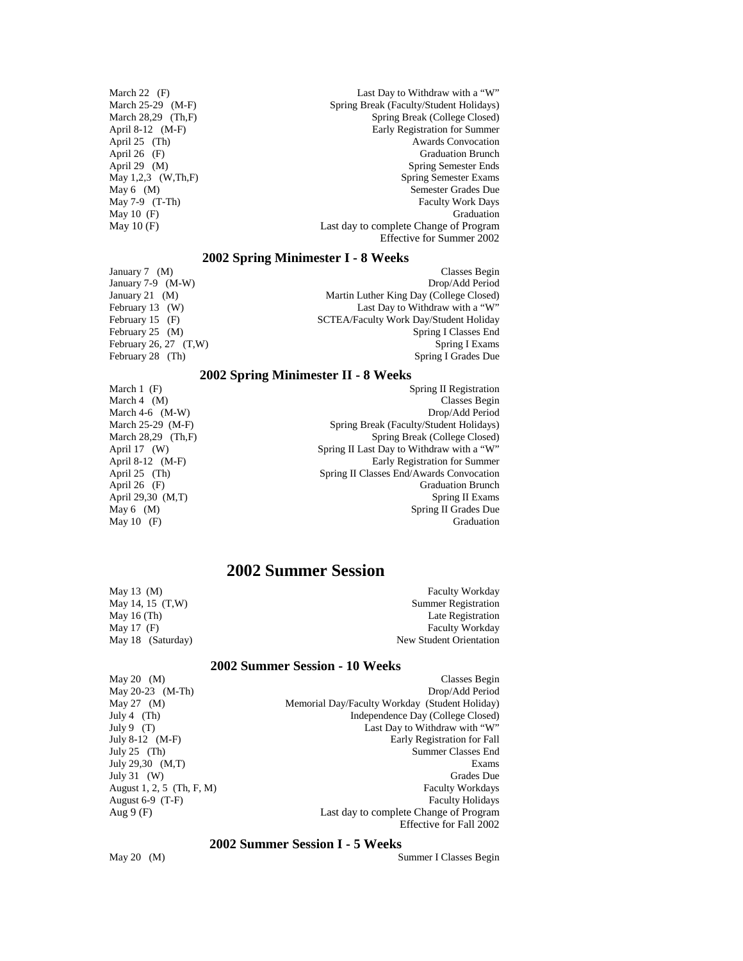March 22 (F) Last Day to Withdraw with a "W" March 25-29 (M-F) Spring Break (Faculty/Student Holidays) March 28,29 (Th,F) Spring Break (College Closed)<br>April 8-12 (M-F) Spring Break (College Closed) April 8-12 (M-F) Early Registration for Summer<br>April 25 (Th) Awards Convocation Awards Convocation April 26 (F) Graduation Brunch April 29 (M) Spring Semester Ends<br>
May 1,2,3 (W,Th,F) Spring Semester Exams May 1,2,3 (W,Th,F) Spring Semester Exams<br>May 6 (M) Semester Grades Due Semester Grades Due May 7-9 (T-Th) Faculty Work Days May 10 (F) Graduation<br>May 10 (F) Last day to complete Change of Program Last day to complete Change of Program Effective for Summer 2002

# **2002 Spring Minimester I - 8 Weeks**

January 7 (M) Classes Begin<br>
January 7-9 (M-W) Classes Begin<br>
Drop/Add Period January 7-9  $(M-W)$ January 21 (M) Martin Luther King Day (College Closed)<br>February 13 (W) Last Day to Withdraw with a "W" February 13 (W) Last Day to Withdraw with a "W"<br>February 15 (F) SCTEA/Faculty Work Day/Student Holiday February 15 (F) SCTEA/Faculty Work Day/Student Holiday<br>February 25 (M) Spring I Classes End Spring I Classes End February 26, 27  $(T,W)$  Spring I Exams February 28 (Th) Spring I Grades Due

## **2002 Spring Minimester II - 8 Weeks**

| March $1$ (F)        | Spring II Registration                    |
|----------------------|-------------------------------------------|
| March $4 \cdot (M)$  | Classes Begin                             |
| March 4-6 $(M-W)$    | Drop/Add Period                           |
| March 25-29 (M-F)    | Spring Break (Faculty/Student Holidays)   |
| March $28,29$ (Th,F) | Spring Break (College Closed)             |
| April $17$ (W)       | Spring II Last Day to Withdraw with a "W" |
| April $8-12$ (M-F)   | Early Registration for Summer             |
| April 25 (Th)        | Spring II Classes End/Awards Convocation  |
| April 26 $(F)$       | <b>Graduation Brunch</b>                  |
| April 29,30 (M,T)    | Spring II Exams                           |
| May $6 \quad (M)$    | Spring II Grades Due                      |
| May 10 $(F)$         | Graduation                                |
|                      |                                           |

# **2002 Summer Session**

| May 13 $(M)$      | <b>Faculty Workday</b>     |
|-------------------|----------------------------|
| May 14, 15 (T,W)  | <b>Summer Registration</b> |
| May 16 $(Th)$     | Late Registration          |
| May 17 $(F)$      | <b>Faculty Workday</b>     |
| May 18 (Saturday) | New Student Orientation    |

# **2002 Summer Session - 10 Weeks**

| May 20 $(M)$              | Classes Begin                                  |
|---------------------------|------------------------------------------------|
| May $20-23$ (M-Th)        | Drop/Add Period                                |
| May 27 $(M)$              | Memorial Day/Faculty Workday (Student Holiday) |
| July 4 $(Th)$             | Independence Day (College Closed)              |
| July 9 $(T)$              | Last Day to Withdraw with "W"                  |
| July 8-12 $(M-F)$         | Early Registration for Fall                    |
| July $25$ (Th)            | Summer Classes End                             |
| July 29,30 $(M,T)$        | Exams                                          |
| July 31 $(W)$             | Grades Due                                     |
| August 1, 2, 5 (Th, F, M) | <b>Faculty Workdays</b>                        |
| August $6-9$ (T-F)        | <b>Faculty Holidays</b>                        |
| Aug $9(F)$                | Last day to complete Change of Program         |
|                           | Effective for Fall 2002                        |

# **2002 Summer Session I - 5 Weeks**

May 20 (M) Summer I Classes Begin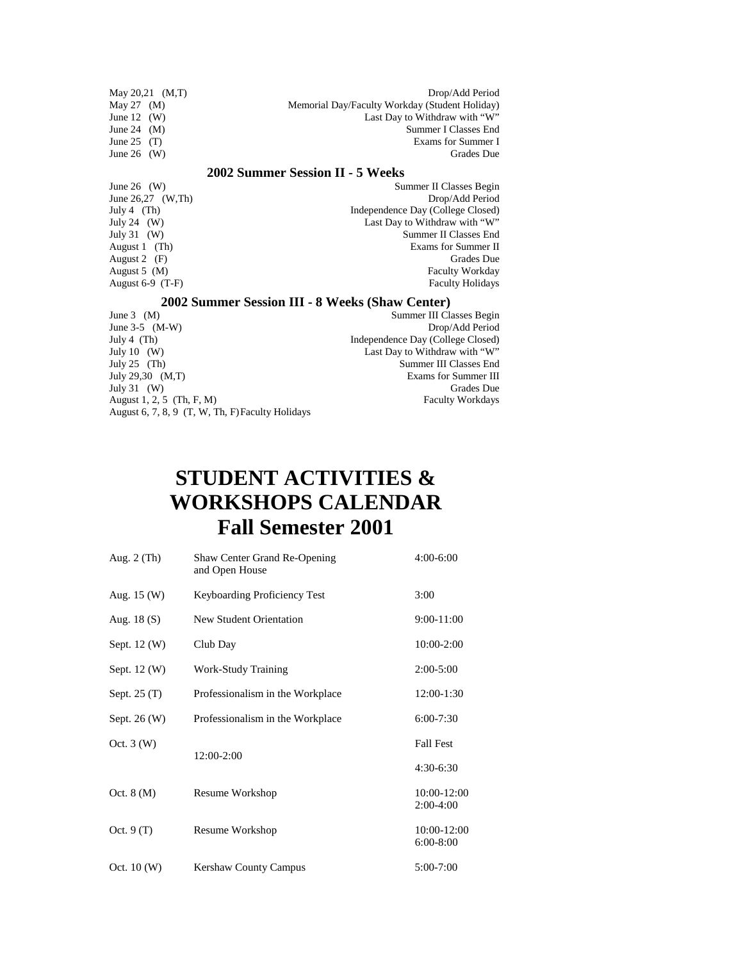| May $20,21$ (M,T)                               | Drop/Add Period                                |  |
|-------------------------------------------------|------------------------------------------------|--|
| May 27<br>(M)                                   | Memorial Day/Faculty Workday (Student Holiday) |  |
| June $12$<br>(W)                                | Last Day to Withdraw with "W"                  |  |
| June 24<br>(M)                                  | Summer I Classes End                           |  |
| June 25<br>(T)                                  | Exams for Summer I                             |  |
| June 26 $(W)$                                   | <b>Grades</b> Due                              |  |
|                                                 | 2002 Summer Session II - 5 Weeks               |  |
| June 26 $(W)$                                   | Summer II Classes Begin                        |  |
| June $26,27$ (W,Th)                             | Drop/Add Period                                |  |
| July 4 $(Th)$                                   | Independence Day (College Closed)              |  |
| July 24 $(W)$                                   | Last Day to Withdraw with "W"                  |  |
| July 31 $(W)$                                   | Summer II Classes End                          |  |
| August 1 (Th)                                   | Exams for Summer II                            |  |
| August 2 $(F)$                                  | Grades Due                                     |  |
| August $5 \, (M)$                               | <b>Faculty Workday</b>                         |  |
| August $6-9$ (T-F)<br><b>Faculty Holidays</b>   |                                                |  |
| 2002 Summer Session III - 8 Weeks (Shaw Center) |                                                |  |
| June $3 \quad (M)$                              | Summer III Classes Begin                       |  |
| June $3-5$ (M-W)                                | Drop/Add Period                                |  |
| July 4 $(Th)$                                   | Independence Day (College Closed)              |  |
| July 10 $(W)$                                   | Last Day to Withdraw with "W"                  |  |
| July $25$ (Th)                                  | Summer III Classes End                         |  |

July 25 (Th) Summer III Classes End July 31 (W) Grades Due<br>August 1, 2, 5 (Th, F, M) Faculty Workdays August 1, 2, 5 (Th, F, M) Faculty Workdays August 6, 7, 8, 9 (T, W, Th, F) Faculty Holidays

# **STUDENT ACTIVITIES & WORKSHOPS CALENDAR Fall Semester 2001**

Exams for Summer III<br>Grades Due

| Aug. $2$ (Th) | Shaw Center Grand Re-Opening<br>and Open House | $4:00-6:00$                |
|---------------|------------------------------------------------|----------------------------|
| Aug. $15(W)$  | Keyboarding Proficiency Test                   | 3:00                       |
| Aug. $18(S)$  | New Student Orientation                        | 9:00-11:00                 |
| Sept. 12 (W)  | Club Day                                       | $10:00 - 2:00$             |
| Sept. 12 (W)  | Work-Study Training                            | $2:00-5:00$                |
| Sept. $25(T)$ | Professionalism in the Workplace               | 12:00-1:30                 |
| Sept. 26 (W)  | Professionalism in the Workplace               | $6:00 - 7:30$              |
| Oct. $3(W)$   |                                                | <b>Fall Fest</b>           |
|               | 12:00-2:00                                     | $4:30-6:30$                |
| Oct. $8(M)$   | Resume Workshop                                | 10:00-12:00<br>$2:00-4:00$ |
| Oct. $9(T)$   | Resume Workshop                                | 10:00-12:00<br>$6:00-8:00$ |
| Oct. $10(W)$  | <b>Kershaw County Campus</b>                   | 5:00-7:00                  |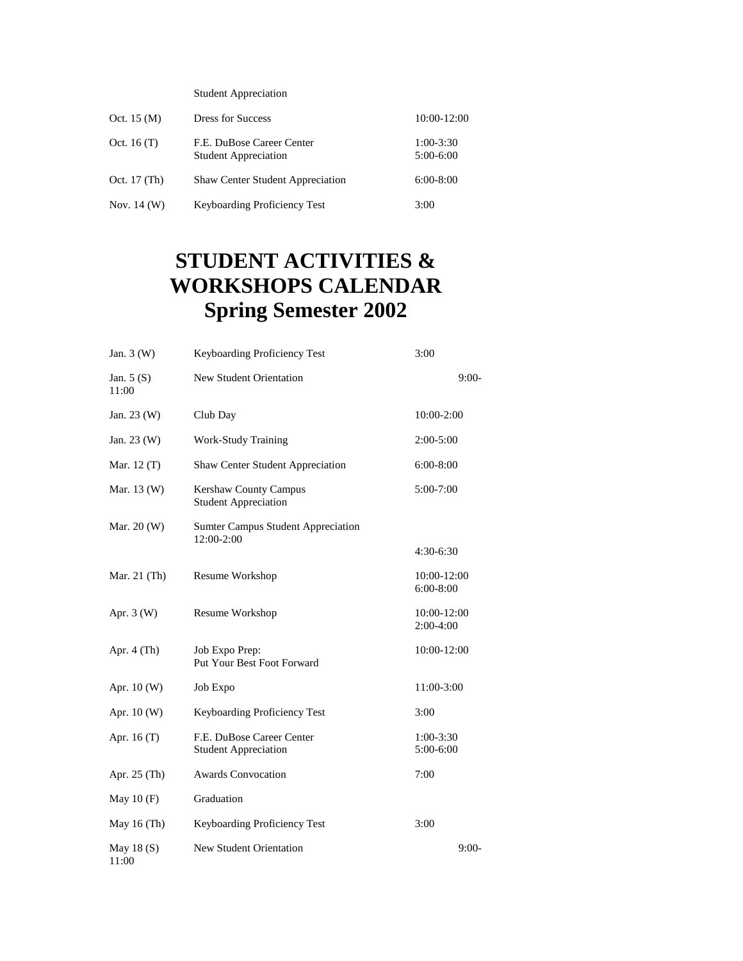Student Appreciation

| Oct. $15 \, (\text{M})$ | <b>Dress for Success</b>                                 | 10:00-12:00                |
|-------------------------|----------------------------------------------------------|----------------------------|
| Oct. 16 $(T)$           | F.E. DuBose Career Center<br><b>Student Appreciation</b> | $1:00-3:30$<br>$5:00-6:00$ |
| Oct. 17 (Th)            | <b>Shaw Center Student Appreciation</b>                  | $6:00-8:00$                |
| Nov. $14 \, (W)$        | Keyboarding Proficiency Test                             | 3:00                       |

# **STUDENT ACTIVITIES & WORKSHOPS CALENDAR Spring Semester 2002**

| Jan. $3(W)$           | Keyboarding Proficiency Test                                | 3:00                       |
|-----------------------|-------------------------------------------------------------|----------------------------|
| Jan. $5(S)$<br>11:00  | <b>New Student Orientation</b>                              | $9:00-$                    |
| Jan. 23 (W)           | Club Day                                                    | 10:00-2:00                 |
| Jan. $23 \, (W)$      | <b>Work-Study Training</b>                                  | 2:00-5:00                  |
| Mar. $12(T)$          | <b>Shaw Center Student Appreciation</b>                     | $6:00-8:00$                |
| Mar. 13 (W)           | <b>Kershaw County Campus</b><br><b>Student Appreciation</b> | $5:00-7:00$                |
| Mar. $20(W)$          | <b>Sumter Campus Student Appreciation</b><br>12:00-2:00     |                            |
|                       |                                                             | $4:30-6:30$                |
| Mar. 21 (Th)          | Resume Workshop                                             | 10:00-12:00<br>6:00-8:00   |
| Apr. $3(W)$           | Resume Workshop                                             | 10:00-12:00<br>$2:00-4:00$ |
| Apr. $4$ (Th)         | Job Expo Prep:<br>Put Your Best Foot Forward                | 10:00-12:00                |
| Apr. 10 (W)           | Job Expo                                                    | 11:00-3:00                 |
| Apr. 10 (W)           | Keyboarding Proficiency Test                                | 3:00                       |
| Apr. 16 $(T)$         | F.E. DuBose Career Center<br><b>Student Appreciation</b>    | $1:00-3:30$<br>$5:00-6:00$ |
| Apr. 25 (Th)          | <b>Awards Convocation</b>                                   | 7:00                       |
| May $10(F)$           | Graduation                                                  |                            |
| May 16 $(Th)$         | Keyboarding Proficiency Test                                | 3:00                       |
| May 18 $(S)$<br>11:00 | New Student Orientation                                     | $9:00-$                    |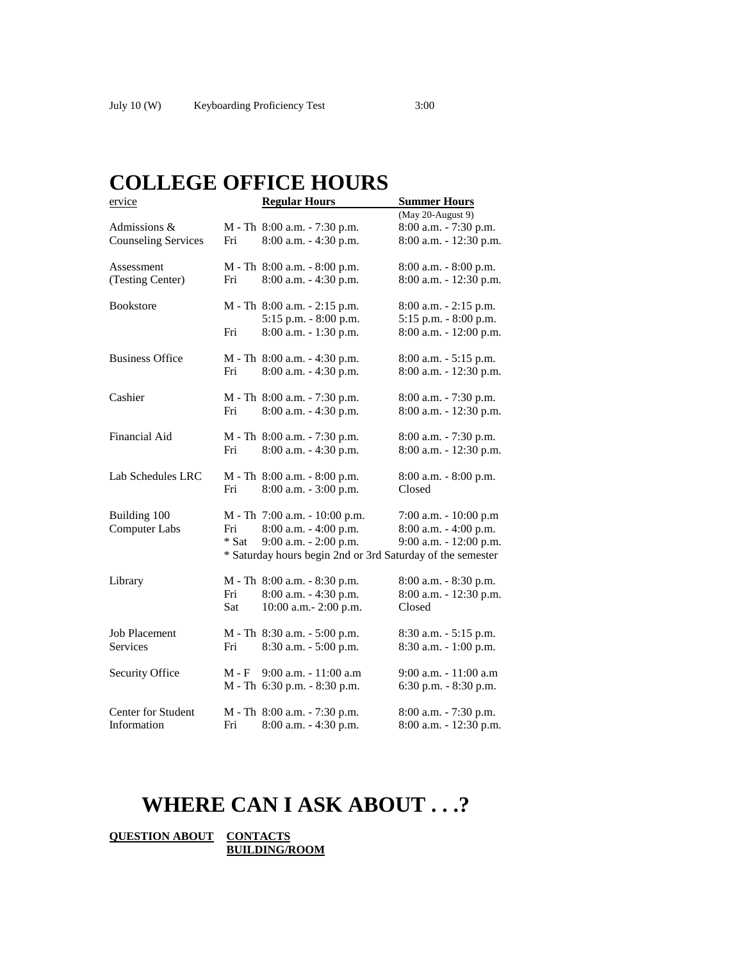| ervice                     |                                                            | <b>Regular Hours</b>             | <b>Summer Hours</b>      |  |  |  |  |
|----------------------------|------------------------------------------------------------|----------------------------------|--------------------------|--|--|--|--|
|                            |                                                            |                                  | (May 20-August 9)        |  |  |  |  |
| Admissions &               |                                                            | M - Th 8:00 a.m. - 7:30 p.m.     | 8:00 a.m. - 7:30 p.m.    |  |  |  |  |
| <b>Counseling Services</b> | Fri                                                        | 8:00 a.m. - 4:30 p.m.            | 8:00 a.m. - 12:30 p.m.   |  |  |  |  |
| Assessment                 |                                                            | M - Th 8:00 a.m. - 8:00 p.m.     | 8:00 a.m. - 8:00 p.m.    |  |  |  |  |
| (Testing Center)           | Fri                                                        | $8:00$ a.m. $-4:30$ p.m.         | 8:00 a.m. - 12:30 p.m.   |  |  |  |  |
| <b>Bookstore</b>           |                                                            | $M - Th$ 8:00 a.m. $- 2:15$ p.m. | $8:00$ a.m. $-2:15$ p.m. |  |  |  |  |
|                            |                                                            | 5:15 p.m. - 8:00 p.m.            | 5:15 p.m. - 8:00 p.m.    |  |  |  |  |
|                            | Fri                                                        | 8:00 a.m. - 1:30 p.m.            | 8:00 a.m. - 12:00 p.m.   |  |  |  |  |
| <b>Business Office</b>     |                                                            | M - Th 8:00 a.m. - 4:30 p.m.     | 8:00 a.m. - 5:15 p.m.    |  |  |  |  |
|                            | Fri                                                        | 8:00 a.m. - 4:30 p.m.            | 8:00 a.m. - 12:30 p.m.   |  |  |  |  |
| Cashier                    |                                                            | M - Th 8:00 a.m. - 7:30 p.m.     | 8:00 a.m. - 7:30 p.m.    |  |  |  |  |
|                            | Fri                                                        | 8:00 a.m. - 4:30 p.m.            | 8:00 a.m. - 12:30 p.m.   |  |  |  |  |
| Financial Aid              |                                                            | M - Th 8:00 a.m. - 7:30 p.m.     | 8:00 a.m. - 7:30 p.m.    |  |  |  |  |
|                            | Fri                                                        | 8:00 a.m. - 4:30 p.m.            | 8:00 a.m. - 12:30 p.m.   |  |  |  |  |
| Lab Schedules LRC          |                                                            | M - Th 8:00 a.m. - 8:00 p.m.     | $8:00$ a.m. $-8:00$ p.m. |  |  |  |  |
|                            | Fri                                                        | 8:00 a.m. - 3:00 p.m.            | Closed                   |  |  |  |  |
| Building 100               |                                                            | M - Th 7:00 a.m. - 10:00 p.m.    | 7:00 a.m. - 10:00 p.m    |  |  |  |  |
| <b>Computer Labs</b>       | Fri                                                        | 8:00 a.m. - 4:00 p.m.            | 8:00 a.m. - 4:00 p.m.    |  |  |  |  |
|                            | * Sat                                                      | 9:00 a.m. - 2:00 p.m.            | 9:00 a.m. - 12:00 p.m.   |  |  |  |  |
|                            | * Saturday hours begin 2nd or 3rd Saturday of the semester |                                  |                          |  |  |  |  |
| Library                    |                                                            | M - Th 8:00 a.m. - 8:30 p.m.     | 8:00 a.m. - 8:30 p.m.    |  |  |  |  |
|                            | Fri                                                        | 8:00 a.m. - 4:30 p.m.            | 8:00 a.m. - 12:30 p.m.   |  |  |  |  |
|                            | Sat                                                        | 10:00 a.m.- 2:00 p.m.            | Closed                   |  |  |  |  |
| <b>Job Placement</b>       |                                                            | M - Th 8:30 a.m. - 5:00 p.m.     | 8:30 a.m. - 5:15 p.m.    |  |  |  |  |
| <b>Services</b>            | Fri                                                        | 8:30 a.m. - 5:00 p.m.            | 8:30 a.m. - 1:00 p.m.    |  |  |  |  |
| <b>Security Office</b>     | M - F                                                      | 9:00 a.m. - 11:00 a.m            | 9:00 a.m. - 11:00 a.m    |  |  |  |  |
|                            |                                                            | M - Th 6:30 p.m. - 8:30 p.m.     | 6:30 p.m. - 8:30 p.m.    |  |  |  |  |
| Center for Student         |                                                            | M - Th 8:00 a.m. - 7:30 p.m.     | 8:00 a.m. - 7:30 p.m.    |  |  |  |  |
| Information                | Fri                                                        | 8:00 a.m. - 4:30 p.m.            | 8:00 a.m. - 12:30 p.m.   |  |  |  |  |

# **WHERE CAN I ASK ABOUT . . .?**

**QUESTION ABOUT CONTACTS BUILDING/ROOM**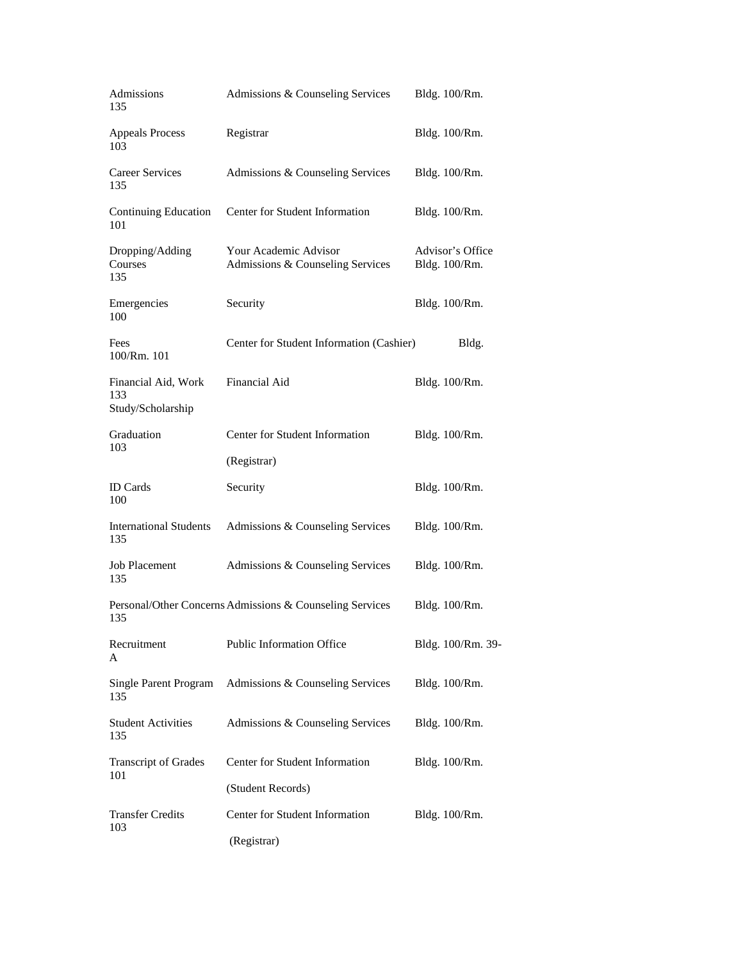| Admissions<br>135                               | Admissions & Counseling Services                          | Bldg. 100/Rm.                     |  |  |
|-------------------------------------------------|-----------------------------------------------------------|-----------------------------------|--|--|
| <b>Appeals Process</b><br>103                   | Registrar                                                 | Bldg. 100/Rm.                     |  |  |
| <b>Career Services</b><br>135                   | Admissions & Counseling Services                          | Bldg. 100/Rm.                     |  |  |
| <b>Continuing Education</b><br>101              | Center for Student Information                            | Bldg. 100/Rm.                     |  |  |
| Dropping/Adding<br>Courses<br>135               | Your Academic Advisor<br>Admissions & Counseling Services | Advisor's Office<br>Bldg. 100/Rm. |  |  |
| Emergencies<br>100                              | Security                                                  | Bldg. 100/Rm.                     |  |  |
| Fees<br>100/Rm. 101                             | Center for Student Information (Cashier)                  | Bldg.                             |  |  |
| Financial Aid, Work<br>133<br>Study/Scholarship | Financial Aid                                             | Bldg. 100/Rm.                     |  |  |
| Graduation                                      | Center for Student Information                            | Bldg. 100/Rm.                     |  |  |
| 103                                             | (Registrar)                                               |                                   |  |  |
| <b>ID</b> Cards<br>100                          | Security                                                  | Bldg. 100/Rm.                     |  |  |
| <b>International Students</b><br>135            | Admissions & Counseling Services                          | Bldg. 100/Rm.                     |  |  |
| <b>Job Placement</b><br>135                     | Admissions & Counseling Services                          | Bldg. 100/Rm.                     |  |  |
| 135                                             | Personal/Other Concerns Admissions & Counseling Services  | Bldg. 100/Rm.                     |  |  |
| Recruitment<br>A                                | Public Information Office                                 | Bldg. 100/Rm. 39-                 |  |  |
| Single Parent Program<br>135                    | Admissions & Counseling Services                          | Bldg. 100/Rm.                     |  |  |
| <b>Student Activities</b><br>135                | Admissions & Counseling Services                          | Bldg. 100/Rm.                     |  |  |
| <b>Transcript of Grades</b><br>101              | Center for Student Information                            | Bldg. 100/Rm.                     |  |  |
|                                                 | (Student Records)                                         |                                   |  |  |
| <b>Transfer Credits</b><br>103                  | Center for Student Information<br>(Registrar)             | Bldg. 100/Rm.                     |  |  |
|                                                 |                                                           |                                   |  |  |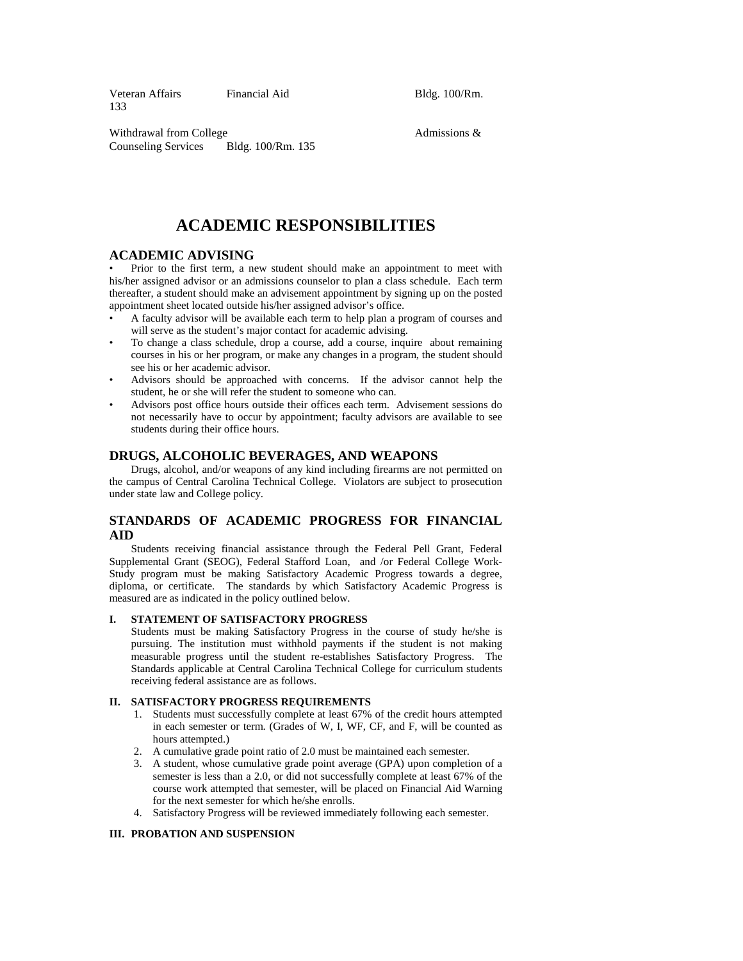Veteran Affairs Financial Aid Bldg. 100/Rm. 133

Withdrawal from College Admissions & Counseling Services Bldg. 100/Rm. 135

# **ACADEMIC RESPONSIBILITIES**

# **ACADEMIC ADVISING**

• Prior to the first term, a new student should make an appointment to meet with his/her assigned advisor or an admissions counselor to plan a class schedule. Each term thereafter, a student should make an advisement appointment by signing up on the posted appointment sheet located outside his/her assigned advisor's office.

- A faculty advisor will be available each term to help plan a program of courses and will serve as the student's major contact for academic advising.
- To change a class schedule, drop a course, add a course, inquire about remaining courses in his or her program, or make any changes in a program, the student should see his or her academic advisor.
- Advisors should be approached with concerns. If the advisor cannot help the student, he or she will refer the student to someone who can.
- Advisors post office hours outside their offices each term. Advisement sessions do not necessarily have to occur by appointment; faculty advisors are available to see students during their office hours.

# **DRUGS, ALCOHOLIC BEVERAGES, AND WEAPONS**

 Drugs, alcohol, and/or weapons of any kind including firearms are not permitted on the campus of Central Carolina Technical College. Violators are subject to prosecution under state law and College policy.

# **STANDARDS OF ACADEMIC PROGRESS FOR FINANCIAL AID**

 Students receiving financial assistance through the Federal Pell Grant, Federal Supplemental Grant (SEOG), Federal Stafford Loan, and /or Federal College Work-Study program must be making Satisfactory Academic Progress towards a degree, diploma, or certificate. The standards by which Satisfactory Academic Progress is measured are as indicated in the policy outlined below.

#### **I. STATEMENT OF SATISFACTORY PROGRESS**

 Students must be making Satisfactory Progress in the course of study he/she is pursuing. The institution must withhold payments if the student is not making measurable progress until the student re-establishes Satisfactory Progress. The Standards applicable at Central Carolina Technical College for curriculum students receiving federal assistance are as follows.

#### **II. SATISFACTORY PROGRESS REQUIREMENTS**

- 1. Students must successfully complete at least 67% of the credit hours attempted in each semester or term. (Grades of W, I, WF, CF, and F, will be counted as hours attempted.)
- 2. A cumulative grade point ratio of 2.0 must be maintained each semester.
- 3. A student, whose cumulative grade point average (GPA) upon completion of a semester is less than a 2.0, or did not successfully complete at least 67% of the course work attempted that semester, will be placed on Financial Aid Warning for the next semester for which he/she enrolls.
- 4. Satisfactory Progress will be reviewed immediately following each semester.

#### **III. PROBATION AND SUSPENSION**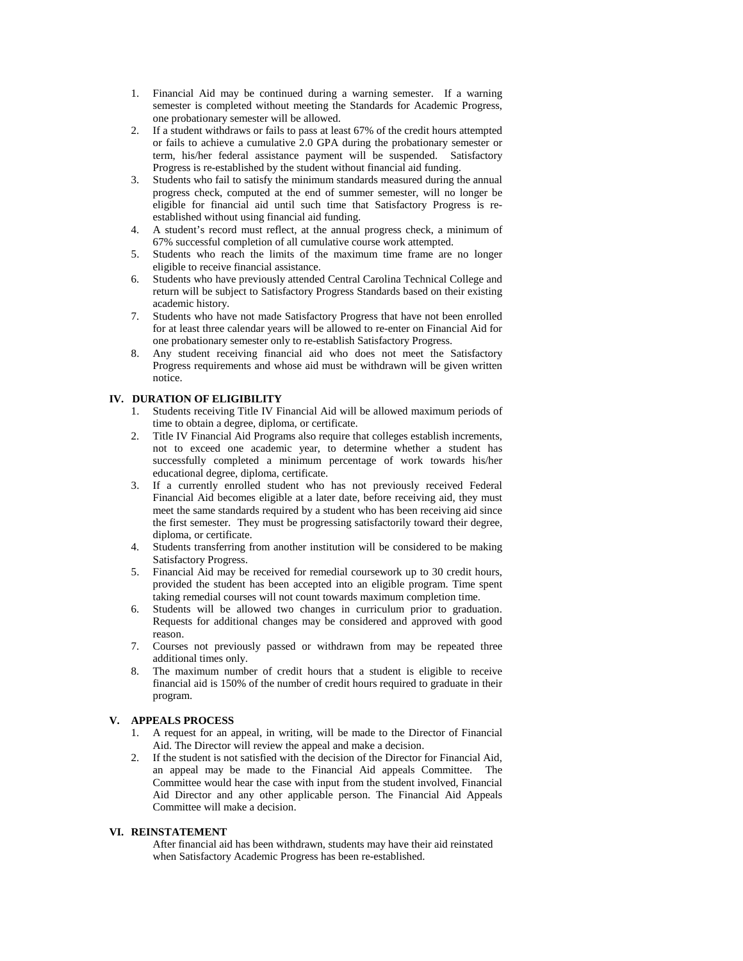- 1. Financial Aid may be continued during a warning semester. If a warning semester is completed without meeting the Standards for Academic Progress, one probationary semester will be allowed.
- 2. If a student withdraws or fails to pass at least 67% of the credit hours attempted or fails to achieve a cumulative 2.0 GPA during the probationary semester or term, his/her federal assistance payment will be suspended. Satisfactory Progress is re-established by the student without financial aid funding.
- 3. Students who fail to satisfy the minimum standards measured during the annual progress check, computed at the end of summer semester, will no longer be eligible for financial aid until such time that Satisfactory Progress is reestablished without using financial aid funding.
- 4. A student's record must reflect, at the annual progress check, a minimum of 67% successful completion of all cumulative course work attempted.
- 5. Students who reach the limits of the maximum time frame are no longer eligible to receive financial assistance.
- 6. Students who have previously attended Central Carolina Technical College and return will be subject to Satisfactory Progress Standards based on their existing academic history.
- 7. Students who have not made Satisfactory Progress that have not been enrolled for at least three calendar years will be allowed to re-enter on Financial Aid for one probationary semester only to re-establish Satisfactory Progress.
- 8. Any student receiving financial aid who does not meet the Satisfactory Progress requirements and whose aid must be withdrawn will be given written notice.

# **IV. DURATION OF ELIGIBILITY**

- 1. Students receiving Title IV Financial Aid will be allowed maximum periods of time to obtain a degree, diploma, or certificate.
- 2. Title IV Financial Aid Programs also require that colleges establish increments, not to exceed one academic year, to determine whether a student has successfully completed a minimum percentage of work towards his/her educational degree, diploma, certificate.
- 3. If a currently enrolled student who has not previously received Federal Financial Aid becomes eligible at a later date, before receiving aid, they must meet the same standards required by a student who has been receiving aid since the first semester. They must be progressing satisfactorily toward their degree, diploma, or certificate.
- 4. Students transferring from another institution will be considered to be making Satisfactory Progress.
- 5. Financial Aid may be received for remedial coursework up to 30 credit hours, provided the student has been accepted into an eligible program. Time spent taking remedial courses will not count towards maximum completion time.
- 6. Students will be allowed two changes in curriculum prior to graduation. Requests for additional changes may be considered and approved with good reason.
- 7. Courses not previously passed or withdrawn from may be repeated three additional times only.
- 8. The maximum number of credit hours that a student is eligible to receive financial aid is 150% of the number of credit hours required to graduate in their program.

#### **V. APPEALS PROCESS**

- 1. A request for an appeal, in writing, will be made to the Director of Financial Aid. The Director will review the appeal and make a decision.
- 2. If the student is not satisfied with the decision of the Director for Financial Aid, an appeal may be made to the Financial Aid appeals Committee. The Committee would hear the case with input from the student involved, Financial Aid Director and any other applicable person. The Financial Aid Appeals Committee will make a decision.

#### **VI. REINSTATEMENT**

 After financial aid has been withdrawn, students may have their aid reinstated when Satisfactory Academic Progress has been re-established.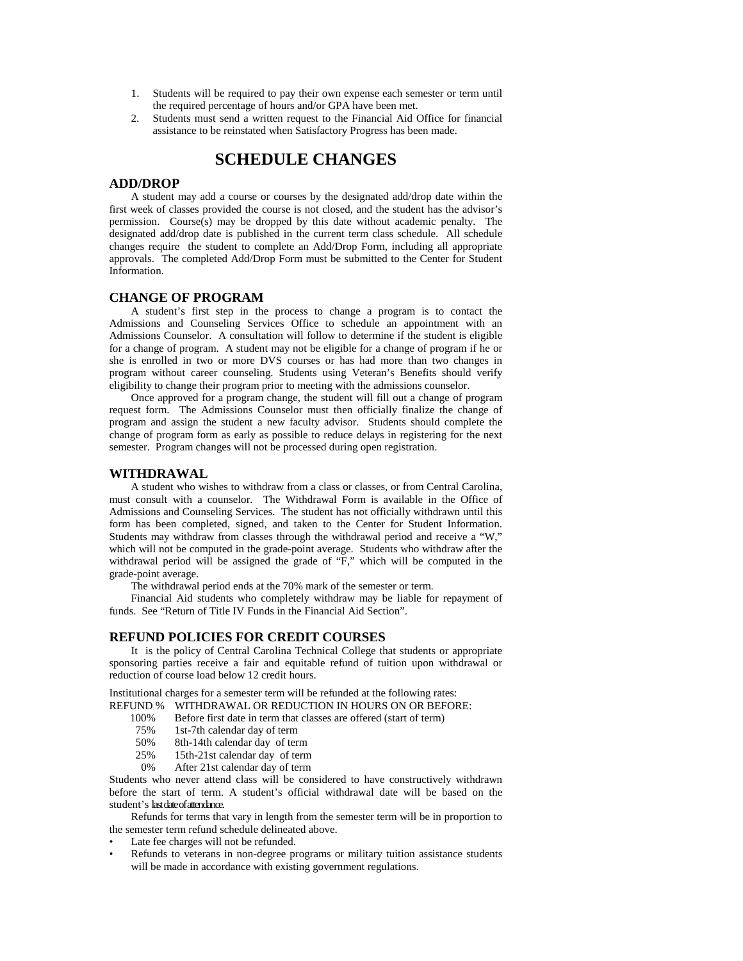- 1. Students will be required to pay their own expense each semester or term until the required percentage of hours and/or GPA have been met.
- 2. Students must send a written request to the Financial Aid Office for financial assistance to be reinstated when Satisfactory Progress has been made.

# **SCHEDULE CHANGES**

# **ADD/DROP**

 A student may add a course or courses by the designated add/drop date within the first week of classes provided the course is not closed, and the student has the advisor's permission. Course(s) may be dropped by this date without academic penalty. The designated add/drop date is published in the current term class schedule. All schedule changes require the student to complete an Add/Drop Form, including all appropriate approvals. The completed Add/Drop Form must be submitted to the Center for Student Information.

# **CHANGE OF PROGRAM**

 A student's first step in the process to change a program is to contact the Admissions and Counseling Services Office to schedule an appointment with an Admissions Counselor. A consultation will follow to determine if the student is eligible for a change of program. A student may not be eligible for a change of program if he or she is enrolled in two or more DVS courses or has had more than two changes in program without career counseling. Students using Veteran's Benefits should verify eligibility to change their program prior to meeting with the admissions counselor.

 Once approved for a program change, the student will fill out a change of program request form. The Admissions Counselor must then officially finalize the change of program and assign the student a new faculty advisor. Students should complete the change of program form as early as possible to reduce delays in registering for the next semester. Program changes will not be processed during open registration.

# **WITHDRAWAL**

 A student who wishes to withdraw from a class or classes, or from Central Carolina, must consult with a counselor. The Withdrawal Form is available in the Office of Admissions and Counseling Services. The student has not officially withdrawn until this form has been completed, signed, and taken to the Center for Student Information. Students may withdraw from classes through the withdrawal period and receive a "W," which will not be computed in the grade-point average. Students who withdraw after the withdrawal period will be assigned the grade of "F," which will be computed in the grade-point average.

The withdrawal period ends at the 70% mark of the semester or term.

 Financial Aid students who completely withdraw may be liable for repayment of funds. See "Return of Title IV Funds in the Financial Aid Section".

#### **REFUND POLICIES FOR CREDIT COURSES**

 It is the policy of Central Carolina Technical College that students or appropriate sponsoring parties receive a fair and equitable refund of tuition upon withdrawal or reduction of course load below 12 credit hours.

Institutional charges for a semester term will be refunded at the following rates: REFUND % WITHDRAWAL OR REDUCTION IN HOURS ON OR BEFORE:

- 100% Before first date in term that classes are offered (start of term)
- 75% 1st-7th calendar day of term
- 50% 8th-14th calendar day of term
- 25% 15th-21st calendar day of term
- 0% After 21st calendar day of term

Students who never attend class will be considered to have constructively withdrawn before the start of term. A student's official withdrawal date will be based on the student's last date of attendance.

 Refunds for terms that vary in length from the semester term will be in proportion to the semester term refund schedule delineated above.

- Late fee charges will not be refunded.
- Refunds to veterans in non-degree programs or military tuition assistance students will be made in accordance with existing government regulations.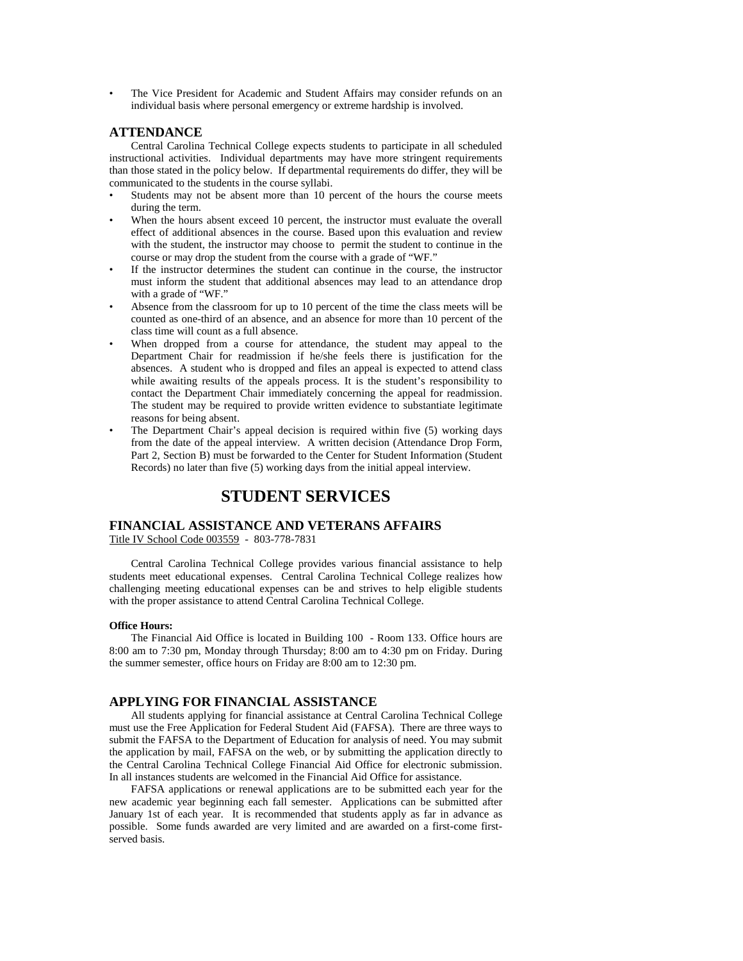The Vice President for Academic and Student Affairs may consider refunds on an individual basis where personal emergency or extreme hardship is involved.

# **ATTENDANCE**

 Central Carolina Technical College expects students to participate in all scheduled instructional activities. Individual departments may have more stringent requirements than those stated in the policy below. If departmental requirements do differ, they will be communicated to the students in the course syllabi.

- Students may not be absent more than 10 percent of the hours the course meets during the term.
- When the hours absent exceed 10 percent, the instructor must evaluate the overall effect of additional absences in the course. Based upon this evaluation and review with the student, the instructor may choose to permit the student to continue in the course or may drop the student from the course with a grade of "WF."
- If the instructor determines the student can continue in the course, the instructor must inform the student that additional absences may lead to an attendance drop with a grade of "WF."
- Absence from the classroom for up to 10 percent of the time the class meets will be counted as one-third of an absence, and an absence for more than 10 percent of the class time will count as a full absence.
- When dropped from a course for attendance, the student may appeal to the Department Chair for readmission if he/she feels there is justification for the absences. A student who is dropped and files an appeal is expected to attend class while awaiting results of the appeals process. It is the student's responsibility to contact the Department Chair immediately concerning the appeal for readmission. The student may be required to provide written evidence to substantiate legitimate reasons for being absent.
- The Department Chair's appeal decision is required within five (5) working days from the date of the appeal interview. A written decision (Attendance Drop Form, Part 2, Section B) must be forwarded to the Center for Student Information (Student Records) no later than five (5) working days from the initial appeal interview.

# **STUDENT SERVICES**

#### **FINANCIAL ASSISTANCE AND VETERANS AFFAIRS** Title IV School Code 003559 - 803-778-7831

 Central Carolina Technical College provides various financial assistance to help students meet educational expenses. Central Carolina Technical College realizes how challenging meeting educational expenses can be and strives to help eligible students with the proper assistance to attend Central Carolina Technical College.

#### **Office Hours:**

 The Financial Aid Office is located in Building 100 - Room 133. Office hours are 8:00 am to 7:30 pm, Monday through Thursday; 8:00 am to 4:30 pm on Friday. During the summer semester, office hours on Friday are 8:00 am to 12:30 pm.

# **APPLYING FOR FINANCIAL ASSISTANCE**

 All students applying for financial assistance at Central Carolina Technical College must use the Free Application for Federal Student Aid (FAFSA). There are three ways to submit the FAFSA to the Department of Education for analysis of need. You may submit the application by mail, FAFSA on the web, or by submitting the application directly to the Central Carolina Technical College Financial Aid Office for electronic submission. In all instances students are welcomed in the Financial Aid Office for assistance.

 FAFSA applications or renewal applications are to be submitted each year for the new academic year beginning each fall semester. Applications can be submitted after January 1st of each year. It is recommended that students apply as far in advance as possible. Some funds awarded are very limited and are awarded on a first-come firstserved basis.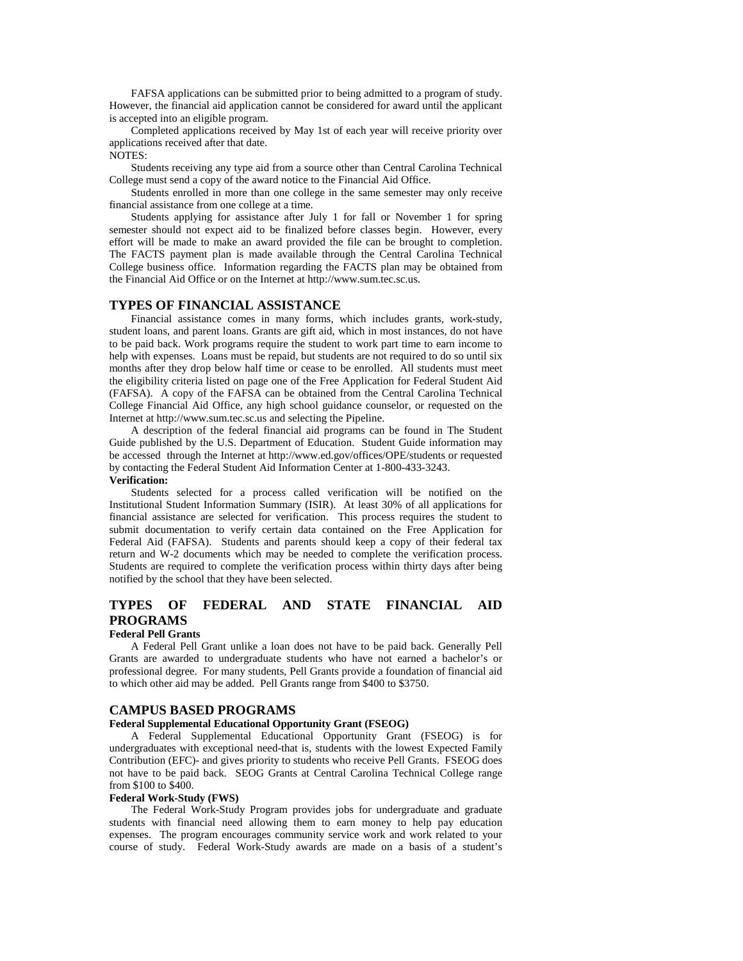FAFSA applications can be submitted prior to being admitted to a program of study. However, the financial aid application cannot be considered for award until the applicant is accepted into an eligible program.

 Completed applications received by May 1st of each year will receive priority over applications received after that date.

NOTES:

 Students receiving any type aid from a source other than Central Carolina Technical College must send a copy of the award notice to the Financial Aid Office.

 Students enrolled in more than one college in the same semester may only receive financial assistance from one college at a time.

 Students applying for assistance after July 1 for fall or November 1 for spring semester should not expect aid to be finalized before classes begin. However, every effort will be made to make an award provided the file can be brought to completion. The FACTS payment plan is made available through the Central Carolina Technical College business office. Information regarding the FACTS plan may be obtained from the Financial Aid Office or on the Internet at http://www.sum.tec.sc.us.

## **TYPES OF FINANCIAL ASSISTANCE**

 Financial assistance comes in many forms, which includes grants, work-study, student loans, and parent loans. Grants are gift aid, which in most instances, do not have to be paid back. Work programs require the student to work part time to earn income to help with expenses. Loans must be repaid, but students are not required to do so until six months after they drop below half time or cease to be enrolled. All students must meet the eligibility criteria listed on page one of the Free Application for Federal Student Aid (FAFSA). A copy of the FAFSA can be obtained from the Central Carolina Technical College Financial Aid Office, any high school guidance counselor, or requested on the Internet at http://www.sum.tec.sc.us and selecting the Pipeline.

 A description of the federal financial aid programs can be found in The Student Guide published by the U.S. Department of Education. Student Guide information may be accessed through the Internet at http://www.ed.gov/offices/OPE/students or requested by contacting the Federal Student Aid Information Center at 1-800-433-3243.

# **Verification:**

 Students selected for a process called verification will be notified on the Institutional Student Information Summary (ISIR). At least 30% of all applications for financial assistance are selected for verification. This process requires the student to submit documentation to verify certain data contained on the Free Application for Federal Aid (FAFSA). Students and parents should keep a copy of their federal tax return and W-2 documents which may be needed to complete the verification process. Students are required to complete the verification process within thirty days after being notified by the school that they have been selected.

# **TYPES OF FEDERAL AND STATE FINANCIAL AID PROGRAMS**

# **Federal Pell Grants**

 A Federal Pell Grant unlike a loan does not have to be paid back. Generally Pell Grants are awarded to undergraduate students who have not earned a bachelor's or professional degree. For many students, Pell Grants provide a foundation of financial aid to which other aid may be added. Pell Grants range from \$400 to \$3750.

#### **CAMPUS BASED PROGRAMS**

# **Federal Supplemental Educational Opportunity Grant (FSEOG)**

 A Federal Supplemental Educational Opportunity Grant (FSEOG) is for undergraduates with exceptional need-that is, students with the lowest Expected Family Contribution (EFC)- and gives priority to students who receive Pell Grants. FSEOG does not have to be paid back. SEOG Grants at Central Carolina Technical College range from \$100 to \$400.

#### **Federal Work-Study (FWS)**

 The Federal Work-Study Program provides jobs for undergraduate and graduate students with financial need allowing them to earn money to help pay education expenses. The program encourages community service work and work related to your course of study. Federal Work-Study awards are made on a basis of a student's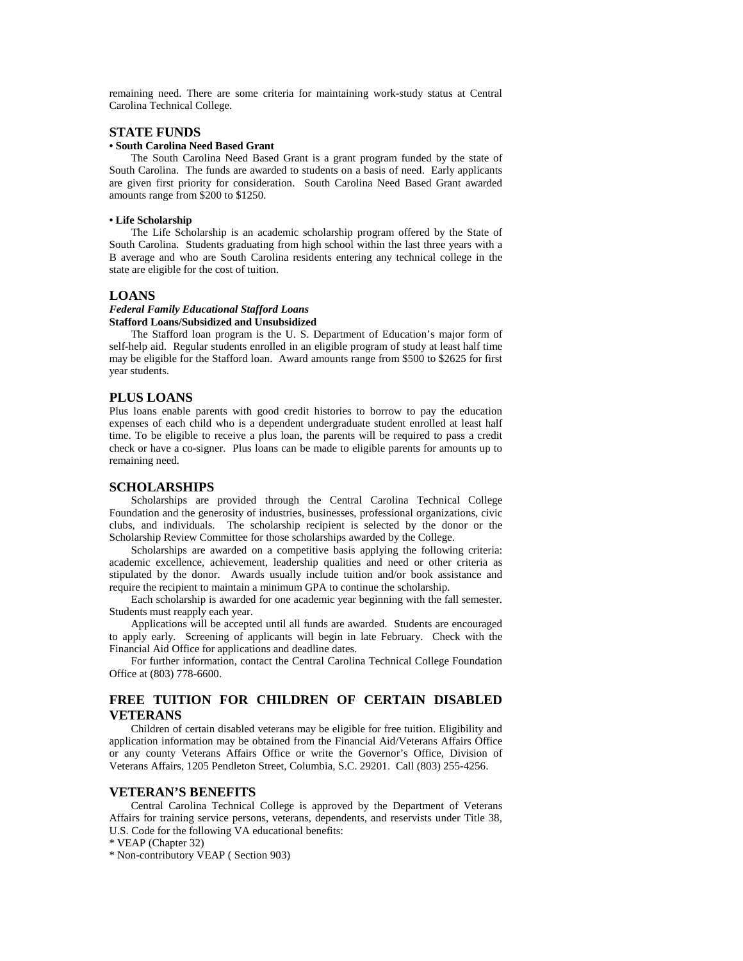remaining need. There are some criteria for maintaining work-study status at Central Carolina Technical College.

# **STATE FUNDS**

## **• South Carolina Need Based Grant**

 The South Carolina Need Based Grant is a grant program funded by the state of South Carolina. The funds are awarded to students on a basis of need. Early applicants are given first priority for consideration. South Carolina Need Based Grant awarded amounts range from \$200 to \$1250.

#### **• Life Scholarship**

 The Life Scholarship is an academic scholarship program offered by the State of South Carolina. Students graduating from high school within the last three years with a B average and who are South Carolina residents entering any technical college in the state are eligible for the cost of tuition.

## **LOANS**

#### *Federal Family Educational Stafford Loans* **Stafford Loans/Subsidized and Unsubsidized**

 The Stafford loan program is the U. S. Department of Education's major form of self-help aid. Regular students enrolled in an eligible program of study at least half time may be eligible for the Stafford loan. Award amounts range from \$500 to \$2625 for first year students.

#### **PLUS LOANS**

Plus loans enable parents with good credit histories to borrow to pay the education expenses of each child who is a dependent undergraduate student enrolled at least half time. To be eligible to receive a plus loan, the parents will be required to pass a credit check or have a co-signer. Plus loans can be made to eligible parents for amounts up to remaining need.

#### **SCHOLARSHIPS**

 Scholarships are provided through the Central Carolina Technical College Foundation and the generosity of industries, businesses, professional organizations, civic clubs, and individuals. The scholarship recipient is selected by the donor or the Scholarship Review Committee for those scholarships awarded by the College.

 Scholarships are awarded on a competitive basis applying the following criteria: academic excellence, achievement, leadership qualities and need or other criteria as stipulated by the donor. Awards usually include tuition and/or book assistance and require the recipient to maintain a minimum GPA to continue the scholarship.

 Each scholarship is awarded for one academic year beginning with the fall semester. Students must reapply each year.

 Applications will be accepted until all funds are awarded. Students are encouraged to apply early. Screening of applicants will begin in late February. Check with the Financial Aid Office for applications and deadline dates.

 For further information, contact the Central Carolina Technical College Foundation Office at (803) 778-6600.

# **FREE TUITION FOR CHILDREN OF CERTAIN DISABLED VETERANS**

 Children of certain disabled veterans may be eligible for free tuition. Eligibility and application information may be obtained from the Financial Aid/Veterans Affairs Office or any county Veterans Affairs Office or write the Governor's Office, Division of Veterans Affairs, 1205 Pendleton Street, Columbia, S.C. 29201. Call (803) 255-4256.

#### **VETERAN'S BENEFITS**

 Central Carolina Technical College is approved by the Department of Veterans Affairs for training service persons, veterans, dependents, and reservists under Title 38, U.S. Code for the following VA educational benefits:

\* VEAP (Chapter 32)

\* Non-contributory VEAP ( Section 903)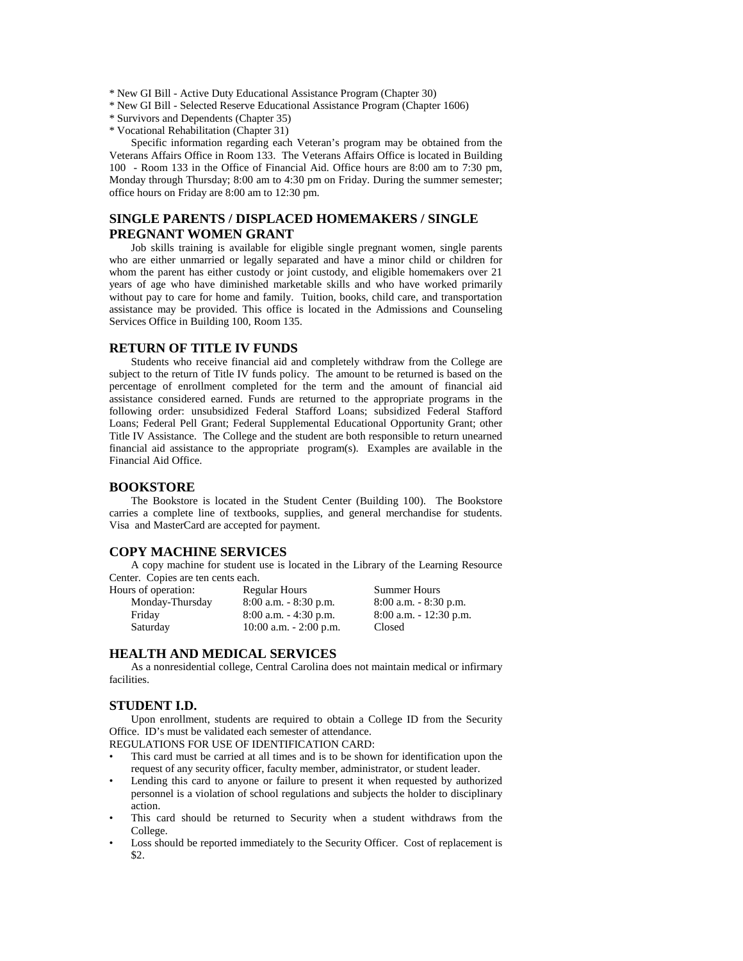- \* New GI Bill Active Duty Educational Assistance Program (Chapter 30)
- \* New GI Bill Selected Reserve Educational Assistance Program (Chapter 1606)
- \* Survivors and Dependents (Chapter 35)
- \* Vocational Rehabilitation (Chapter 31)

 Specific information regarding each Veteran's program may be obtained from the Veterans Affairs Office in Room 133. The Veterans Affairs Office is located in Building 100 - Room 133 in the Office of Financial Aid. Office hours are 8:00 am to 7:30 pm, Monday through Thursday; 8:00 am to 4:30 pm on Friday. During the summer semester; office hours on Friday are 8:00 am to 12:30 pm.

# **SINGLE PARENTS / DISPLACED HOMEMAKERS / SINGLE PREGNANT WOMEN GRANT**

 Job skills training is available for eligible single pregnant women, single parents who are either unmarried or legally separated and have a minor child or children for whom the parent has either custody or joint custody, and eligible homemakers over 21 years of age who have diminished marketable skills and who have worked primarily without pay to care for home and family. Tuition, books, child care, and transportation assistance may be provided. This office is located in the Admissions and Counseling Services Office in Building 100, Room 135.

#### **RETURN OF TITLE IV FUNDS**

 Students who receive financial aid and completely withdraw from the College are subject to the return of Title IV funds policy. The amount to be returned is based on the percentage of enrollment completed for the term and the amount of financial aid assistance considered earned. Funds are returned to the appropriate programs in the following order: unsubsidized Federal Stafford Loans; subsidized Federal Stafford Loans; Federal Pell Grant; Federal Supplemental Educational Opportunity Grant; other Title IV Assistance. The College and the student are both responsible to return unearned financial aid assistance to the appropriate program(s). Examples are available in the Financial Aid Office.

# **BOOKSTORE**

 The Bookstore is located in the Student Center (Building 100). The Bookstore carries a complete line of textbooks, supplies, and general merchandise for students. Visa and MasterCard are accepted for payment.

# **COPY MACHINE SERVICES**

 A copy machine for student use is located in the Library of the Learning Resource Center. Copies are ten cents each.

| Hours of operation: | <b>Regular Hours</b>       | <b>Summer Hours</b>       |
|---------------------|----------------------------|---------------------------|
| Monday-Thursday     | $8:00$ a.m. $-8:30$ p.m.   | $8:00$ a.m. $-8:30$ p.m.  |
| Friday              | $8:00$ a.m. $-4:30$ p.m.   | $8:00$ a.m. $-12:30$ p.m. |
| Saturday            | $10:00$ a.m. $- 2:00$ p.m. | Closed                    |

## **HEALTH AND MEDICAL SERVICES**

 As a nonresidential college, Central Carolina does not maintain medical or infirmary facilities.

#### **STUDENT I.D.**

 Upon enrollment, students are required to obtain a College ID from the Security Office. ID's must be validated each semester of attendance.

REGULATIONS FOR USE OF IDENTIFICATION CARD:

- This card must be carried at all times and is to be shown for identification upon the request of any security officer, faculty member, administrator, or student leader.
- Lending this card to anyone or failure to present it when requested by authorized personnel is a violation of school regulations and subjects the holder to disciplinary action.
- This card should be returned to Security when a student withdraws from the College.
- Loss should be reported immediately to the Security Officer. Cost of replacement is \$2.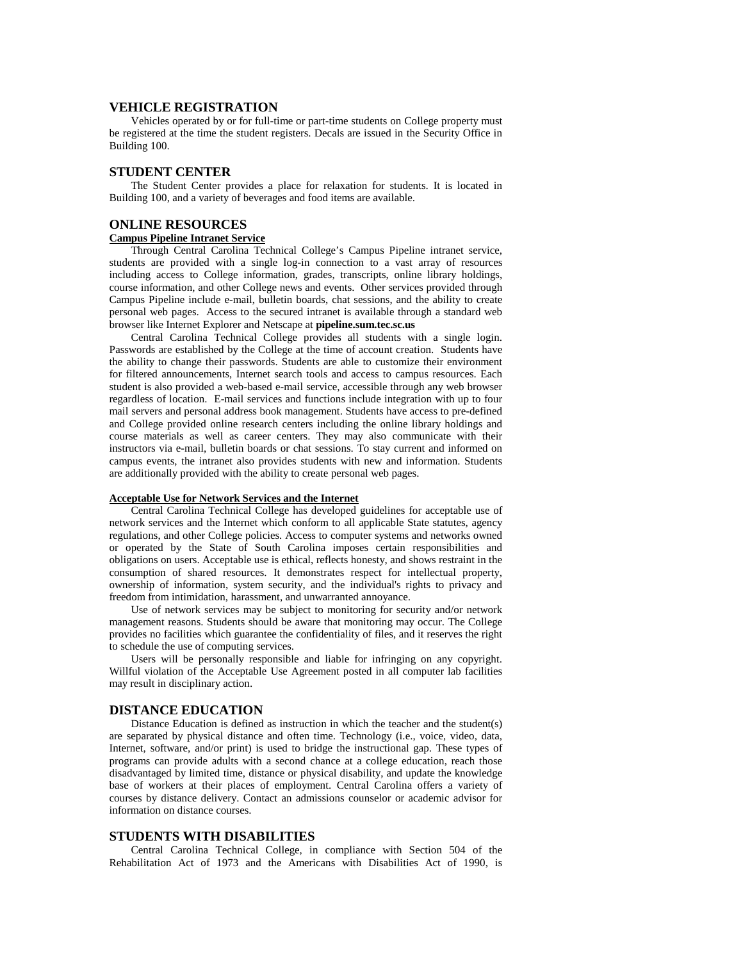## **VEHICLE REGISTRATION**

 Vehicles operated by or for full-time or part-time students on College property must be registered at the time the student registers. Decals are issued in the Security Office in Building 100.

# **STUDENT CENTER**

 The Student Center provides a place for relaxation for students. It is located in Building 100, and a variety of beverages and food items are available.

# **ONLINE RESOURCES**

#### **Campus Pipeline Intranet Service**

 Through Central Carolina Technical College's Campus Pipeline intranet service, students are provided with a single log-in connection to a vast array of resources including access to College information, grades, transcripts, online library holdings, course information, and other College news and events. Other services provided through Campus Pipeline include e-mail, bulletin boards, chat sessions, and the ability to create personal web pages. Access to the secured intranet is available through a standard web browser like Internet Explorer and Netscape at **pipeline.sum.tec.sc.us**

 Central Carolina Technical College provides all students with a single login. Passwords are established by the College at the time of account creation. Students have the ability to change their passwords. Students are able to customize their environment for filtered announcements, Internet search tools and access to campus resources. Each student is also provided a web-based e-mail service, accessible through any web browser regardless of location. E-mail services and functions include integration with up to four mail servers and personal address book management. Students have access to pre-defined and College provided online research centers including the online library holdings and course materials as well as career centers. They may also communicate with their instructors via e-mail, bulletin boards or chat sessions. To stay current and informed on campus events, the intranet also provides students with new and information. Students are additionally provided with the ability to create personal web pages.

#### **Acceptable Use for Network Services and the Internet**

 Central Carolina Technical College has developed guidelines for acceptable use of network services and the Internet which conform to all applicable State statutes, agency regulations, and other College policies. Access to computer systems and networks owned or operated by the State of South Carolina imposes certain responsibilities and obligations on users. Acceptable use is ethical, reflects honesty, and shows restraint in the consumption of shared resources. It demonstrates respect for intellectual property, ownership of information, system security, and the individual's rights to privacy and freedom from intimidation, harassment, and unwarranted annoyance.

 Use of network services may be subject to monitoring for security and/or network management reasons. Students should be aware that monitoring may occur. The College provides no facilities which guarantee the confidentiality of files, and it reserves the right to schedule the use of computing services.

 Users will be personally responsible and liable for infringing on any copyright. Willful violation of the Acceptable Use Agreement posted in all computer lab facilities may result in disciplinary action.

# **DISTANCE EDUCATION**

 Distance Education is defined as instruction in which the teacher and the student(s) are separated by physical distance and often time. Technology (i.e., voice, video, data, Internet, software, and/or print) is used to bridge the instructional gap. These types of programs can provide adults with a second chance at a college education, reach those disadvantaged by limited time, distance or physical disability, and update the knowledge base of workers at their places of employment. Central Carolina offers a variety of courses by distance delivery. Contact an admissions counselor or academic advisor for information on distance courses.

#### **STUDENTS WITH DISABILITIES**

 Central Carolina Technical College, in compliance with Section 504 of the Rehabilitation Act of 1973 and the Americans with Disabilities Act of 1990, is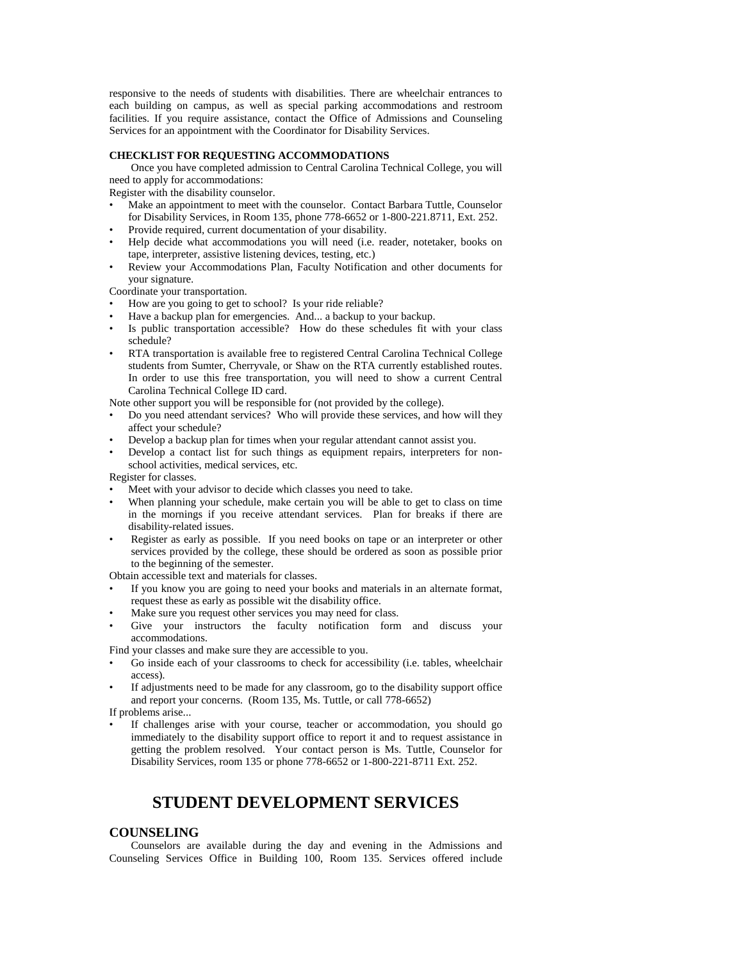responsive to the needs of students with disabilities. There are wheelchair entrances to each building on campus, as well as special parking accommodations and restroom facilities. If you require assistance, contact the Office of Admissions and Counseling Services for an appointment with the Coordinator for Disability Services.

#### **CHECKLIST FOR REQUESTING ACCOMMODATIONS**

 Once you have completed admission to Central Carolina Technical College, you will need to apply for accommodations:

Register with the disability counselor.

- Make an appointment to meet with the counselor. Contact Barbara Tuttle, Counselor for Disability Services, in Room 135, phone 778-6652 or 1-800-221.8711, Ext. 252.
- Provide required, current documentation of your disability.
- Help decide what accommodations you will need (i.e. reader, notetaker, books on tape, interpreter, assistive listening devices, testing, etc.)
- Review your Accommodations Plan, Faculty Notification and other documents for your signature.

Coordinate your transportation.

- How are you going to get to school? Is your ride reliable?
- Have a backup plan for emergencies. And... a backup to your backup.
- Is public transportation accessible? How do these schedules fit with your class schedule?
- RTA transportation is available free to registered Central Carolina Technical College students from Sumter, Cherryvale, or Shaw on the RTA currently established routes. In order to use this free transportation, you will need to show a current Central Carolina Technical College ID card.

Note other support you will be responsible for (not provided by the college).

- Do you need attendant services? Who will provide these services, and how will they affect your schedule?
- Develop a backup plan for times when your regular attendant cannot assist you.
- Develop a contact list for such things as equipment repairs, interpreters for nonschool activities, medical services, etc.

Register for classes.

- Meet with your advisor to decide which classes you need to take.
- When planning your schedule, make certain you will be able to get to class on time in the mornings if you receive attendant services. Plan for breaks if there are disability-related issues.
- Register as early as possible. If you need books on tape or an interpreter or other services provided by the college, these should be ordered as soon as possible prior to the beginning of the semester.

Obtain accessible text and materials for classes.

- If you know you are going to need your books and materials in an alternate format, request these as early as possible wit the disability office.
- Make sure you request other services you may need for class.
- Give your instructors the faculty notification form and discuss your accommodations.

Find your classes and make sure they are accessible to you.

- Go inside each of your classrooms to check for accessibility (i.e. tables, wheelchair access).
- If adjustments need to be made for any classroom, go to the disability support office and report your concerns. (Room 135, Ms. Tuttle, or call 778-6652)

If problems arise...

• If challenges arise with your course, teacher or accommodation, you should go immediately to the disability support office to report it and to request assistance in getting the problem resolved. Your contact person is Ms. Tuttle, Counselor for Disability Services, room 135 or phone 778-6652 or 1-800-221-8711 Ext. 252.

# **STUDENT DEVELOPMENT SERVICES**

# **COUNSELING**

 Counselors are available during the day and evening in the Admissions and Counseling Services Office in Building 100, Room 135. Services offered include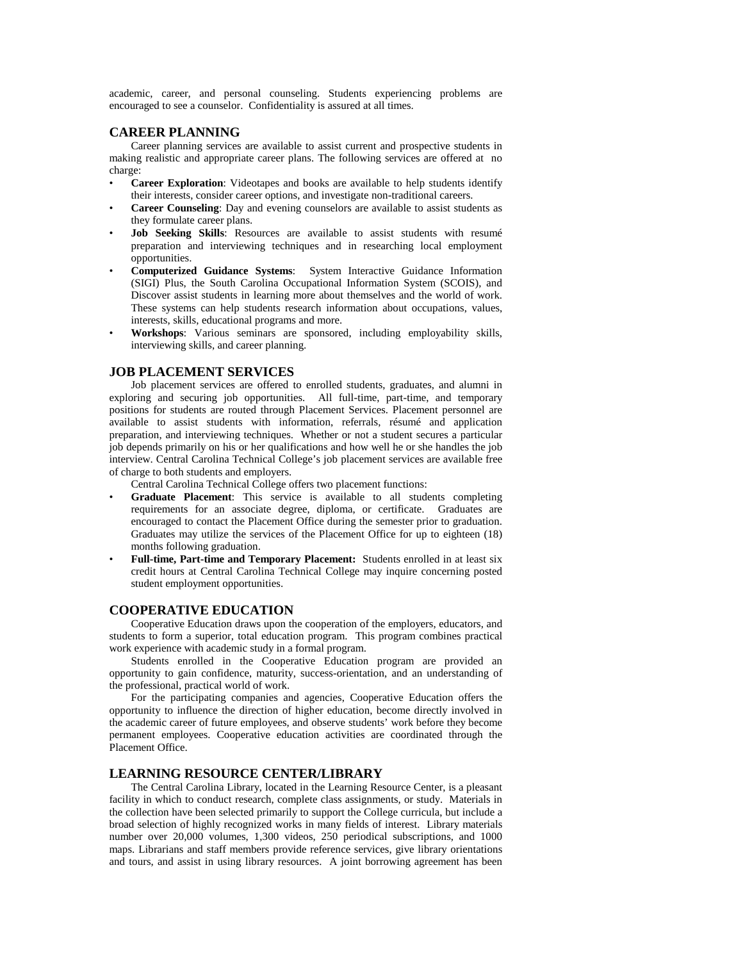academic, career, and personal counseling. Students experiencing problems are encouraged to see a counselor. Confidentiality is assured at all times.

## **CAREER PLANNING**

 Career planning services are available to assist current and prospective students in making realistic and appropriate career plans. The following services are offered at no charge:

- **Career Exploration**: Videotapes and books are available to help students identify their interests, consider career options, and investigate non-traditional careers.
- **Career Counseling**: Day and evening counselors are available to assist students as they formulate career plans.
- **Job Seeking Skills**: Resources are available to assist students with resumé preparation and interviewing techniques and in researching local employment opportunities.
- **Computerized Guidance Systems**: System Interactive Guidance Information (SIGI) Plus, the South Carolina Occupational Information System (SCOIS), and Discover assist students in learning more about themselves and the world of work. These systems can help students research information about occupations, values, interests, skills, educational programs and more.
- **Workshops**: Various seminars are sponsored, including employability skills, interviewing skills, and career planning.

#### **JOB PLACEMENT SERVICES**

 Job placement services are offered to enrolled students, graduates, and alumni in exploring and securing job opportunities. All full-time, part-time, and temporary positions for students are routed through Placement Services. Placement personnel are available to assist students with information, referrals, résumé and application preparation, and interviewing techniques. Whether or not a student secures a particular job depends primarily on his or her qualifications and how well he or she handles the job interview. Central Carolina Technical College's job placement services are available free of charge to both students and employers.

Central Carolina Technical College offers two placement functions:

- **Graduate Placement**: This service is available to all students completing requirements for an associate degree, diploma, or certificate. Graduates are encouraged to contact the Placement Office during the semester prior to graduation. Graduates may utilize the services of the Placement Office for up to eighteen (18) months following graduation.
- **Full-time, Part-time and Temporary Placement:** Students enrolled in at least six credit hours at Central Carolina Technical College may inquire concerning posted student employment opportunities.

# **COOPERATIVE EDUCATION**

 Cooperative Education draws upon the cooperation of the employers, educators, and students to form a superior, total education program. This program combines practical work experience with academic study in a formal program.

 Students enrolled in the Cooperative Education program are provided an opportunity to gain confidence, maturity, success-orientation, and an understanding of the professional, practical world of work.

 For the participating companies and agencies, Cooperative Education offers the opportunity to influence the direction of higher education, become directly involved in the academic career of future employees, and observe students' work before they become permanent employees. Cooperative education activities are coordinated through the Placement Office.

# **LEARNING RESOURCE CENTER/LIBRARY**

 The Central Carolina Library, located in the Learning Resource Center, is a pleasant facility in which to conduct research, complete class assignments, or study. Materials in the collection have been selected primarily to support the College curricula, but include a broad selection of highly recognized works in many fields of interest. Library materials number over 20,000 volumes, 1,300 videos, 250 periodical subscriptions, and 1000 maps. Librarians and staff members provide reference services, give library orientations and tours, and assist in using library resources. A joint borrowing agreement has been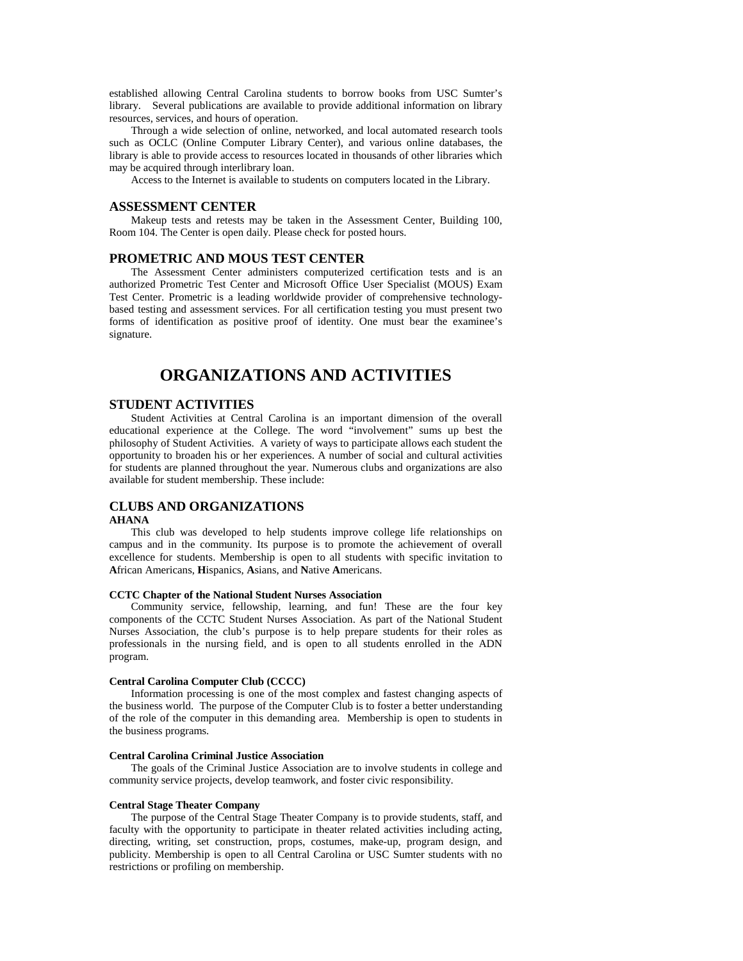established allowing Central Carolina students to borrow books from USC Sumter's library. Several publications are available to provide additional information on library resources, services, and hours of operation.

 Through a wide selection of online, networked, and local automated research tools such as OCLC (Online Computer Library Center), and various online databases, the library is able to provide access to resources located in thousands of other libraries which may be acquired through interlibrary loan.

Access to the Internet is available to students on computers located in the Library.

#### **ASSESSMENT CENTER**

 Makeup tests and retests may be taken in the Assessment Center, Building 100, Room 104. The Center is open daily. Please check for posted hours.

## **PROMETRIC AND MOUS TEST CENTER**

 The Assessment Center administers computerized certification tests and is an authorized Prometric Test Center and Microsoft Office User Specialist (MOUS) Exam Test Center. Prometric is a leading worldwide provider of comprehensive technologybased testing and assessment services. For all certification testing you must present two forms of identification as positive proof of identity. One must bear the examinee's signature.

# **ORGANIZATIONS AND ACTIVITIES**

#### **STUDENT ACTIVITIES**

 Student Activities at Central Carolina is an important dimension of the overall educational experience at the College. The word "involvement" sums up best the philosophy of Student Activities. A variety of ways to participate allows each student the opportunity to broaden his or her experiences. A number of social and cultural activities for students are planned throughout the year. Numerous clubs and organizations are also available for student membership. These include:

## **CLUBS AND ORGANIZATIONS**

#### **AHANA**

 This club was developed to help students improve college life relationships on campus and in the community. Its purpose is to promote the achievement of overall excellence for students. Membership is open to all students with specific invitation to **A**frican Americans, **H**ispanics, **A**sians, and **N**ative **A**mericans.

#### **CCTC Chapter of the National Student Nurses Association**

 Community service, fellowship, learning, and fun! These are the four key components of the CCTC Student Nurses Association. As part of the National Student Nurses Association, the club's purpose is to help prepare students for their roles as professionals in the nursing field, and is open to all students enrolled in the ADN program.

#### **Central Carolina Computer Club (CCCC)**

 Information processing is one of the most complex and fastest changing aspects of the business world. The purpose of the Computer Club is to foster a better understanding of the role of the computer in this demanding area. Membership is open to students in the business programs.

#### **Central Carolina Criminal Justice Association**

 The goals of the Criminal Justice Association are to involve students in college and community service projects, develop teamwork, and foster civic responsibility.

#### **Central Stage Theater Company**

 The purpose of the Central Stage Theater Company is to provide students, staff, and faculty with the opportunity to participate in theater related activities including acting, directing, writing, set construction, props, costumes, make-up, program design, and publicity. Membership is open to all Central Carolina or USC Sumter students with no restrictions or profiling on membership.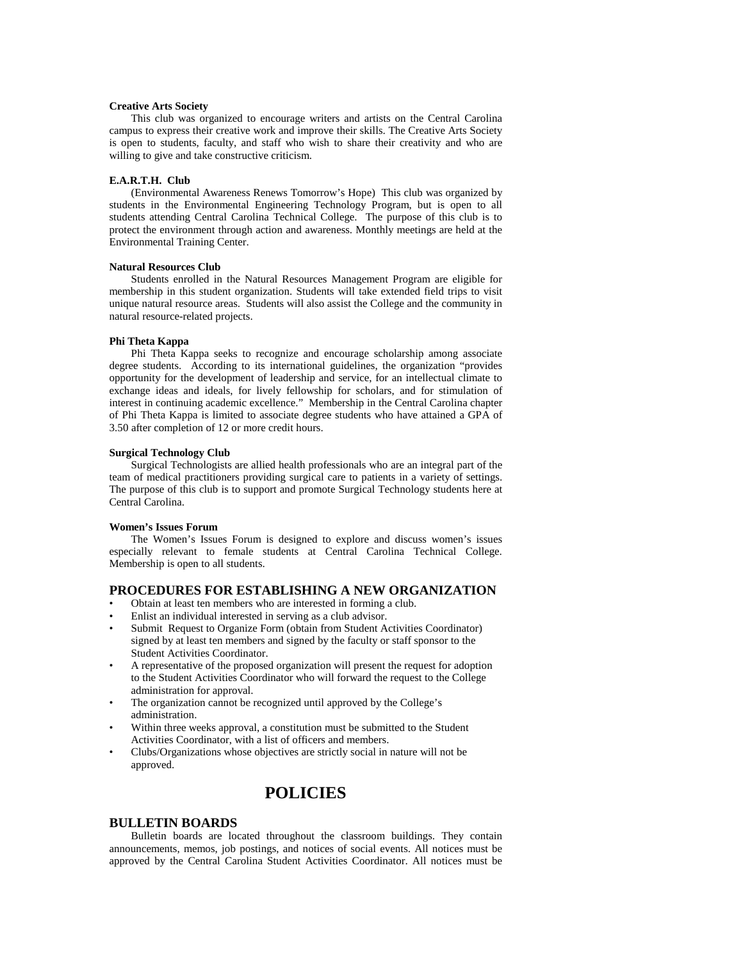#### **Creative Arts Society**

 This club was organized to encourage writers and artists on the Central Carolina campus to express their creative work and improve their skills. The Creative Arts Society is open to students, faculty, and staff who wish to share their creativity and who are willing to give and take constructive criticism.

#### **E.A.R.T.H. Club**

 (Environmental Awareness Renews Tomorrow's Hope) This club was organized by students in the Environmental Engineering Technology Program, but is open to all students attending Central Carolina Technical College. The purpose of this club is to protect the environment through action and awareness. Monthly meetings are held at the Environmental Training Center.

#### **Natural Resources Club**

 Students enrolled in the Natural Resources Management Program are eligible for membership in this student organization. Students will take extended field trips to visit unique natural resource areas. Students will also assist the College and the community in natural resource-related projects.

#### **Phi Theta Kappa**

 Phi Theta Kappa seeks to recognize and encourage scholarship among associate degree students. According to its international guidelines, the organization "provides opportunity for the development of leadership and service, for an intellectual climate to exchange ideas and ideals, for lively fellowship for scholars, and for stimulation of interest in continuing academic excellence." Membership in the Central Carolina chapter of Phi Theta Kappa is limited to associate degree students who have attained a GPA of 3.50 after completion of 12 or more credit hours.

#### **Surgical Technology Club**

 Surgical Technologists are allied health professionals who are an integral part of the team of medical practitioners providing surgical care to patients in a variety of settings. The purpose of this club is to support and promote Surgical Technology students here at Central Carolina.

#### **Women's Issues Forum**

 The Women's Issues Forum is designed to explore and discuss women's issues especially relevant to female students at Central Carolina Technical College. Membership is open to all students.

# **PROCEDURES FOR ESTABLISHING A NEW ORGANIZATION**

- Obtain at least ten members who are interested in forming a club.
- Enlist an individual interested in serving as a club advisor.
- Submit Request to Organize Form (obtain from Student Activities Coordinator) signed by at least ten members and signed by the faculty or staff sponsor to the Student Activities Coordinator.
- A representative of the proposed organization will present the request for adoption to the Student Activities Coordinator who will forward the request to the College administration for approval.
- The organization cannot be recognized until approved by the College's administration.
- Within three weeks approval, a constitution must be submitted to the Student Activities Coordinator, with a list of officers and members.
- Clubs/Organizations whose objectives are strictly social in nature will not be approved.

# **POLICIES**

#### **BULLETIN BOARDS**

 Bulletin boards are located throughout the classroom buildings. They contain announcements, memos, job postings, and notices of social events. All notices must be approved by the Central Carolina Student Activities Coordinator. All notices must be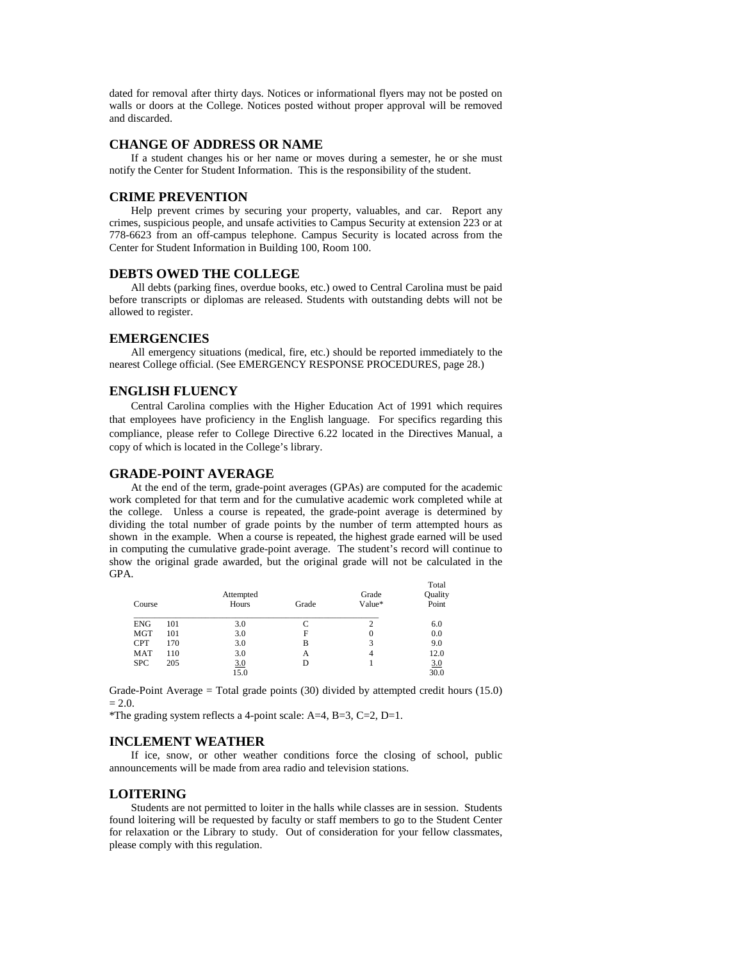dated for removal after thirty days. Notices or informational flyers may not be posted on walls or doors at the College. Notices posted without proper approval will be removed and discarded.

#### **CHANGE OF ADDRESS OR NAME**

 If a student changes his or her name or moves during a semester, he or she must notify the Center for Student Information. This is the responsibility of the student.

#### **CRIME PREVENTION**

 Help prevent crimes by securing your property, valuables, and car. Report any crimes, suspicious people, and unsafe activities to Campus Security at extension 223 or at 778-6623 from an off-campus telephone. Campus Security is located across from the Center for Student Information in Building 100, Room 100.

#### **DEBTS OWED THE COLLEGE**

 All debts (parking fines, overdue books, etc.) owed to Central Carolina must be paid before transcripts or diplomas are released. Students with outstanding debts will not be allowed to register.

# **EMERGENCIES**

 All emergency situations (medical, fire, etc.) should be reported immediately to the nearest College official. (See EMERGENCY RESPONSE PROCEDURES, page 28.)

## **ENGLISH FLUENCY**

 Central Carolina complies with the Higher Education Act of 1991 which requires that employees have proficiency in the English language. For specifics regarding this compliance, please refer to College Directive 6.22 located in the Directives Manual, a copy of which is located in the College's library.

#### **GRADE-POINT AVERAGE**

 At the end of the term, grade-point averages (GPAs) are computed for the academic work completed for that term and for the cumulative academic work completed while at the college. Unless a course is repeated, the grade-point average is determined by dividing the total number of grade points by the number of term attempted hours as shown in the example. When a course is repeated, the highest grade earned will be used in computing the cumulative grade-point average. The student's record will continue to show the original grade awarded, but the original grade will not be calculated in the GPA.

| Course     |     | Attempted<br>Hours | Grade | Grade<br>Value* | Total<br>Quality<br>Point |
|------------|-----|--------------------|-------|-----------------|---------------------------|
| <b>ENG</b> | 101 | 3.0                | C     |                 | 6.0                       |
| <b>MGT</b> | 101 | 3.0                | F     | 0               | 0.0                       |
| <b>CPT</b> | 170 | 3.0                | B     |                 | 9.0                       |
| <b>MAT</b> | 110 | 3.0                | А     | 4               | 12.0                      |
| <b>SPC</b> | 205 | 3.0                | D     |                 | 3.0                       |
|            |     | 15.0               |       |                 | 30.0                      |

Grade-Point Average = Total grade points  $(30)$  divided by attempted credit hours  $(15.0)$  $= 2.0.$ 

\*The grading system reflects a 4-point scale: A=4, B=3, C=2, D=1.

# **INCLEMENT WEATHER**

 If ice, snow, or other weather conditions force the closing of school, public announcements will be made from area radio and television stations.

# **LOITERING**

 Students are not permitted to loiter in the halls while classes are in session. Students found loitering will be requested by faculty or staff members to go to the Student Center for relaxation or the Library to study. Out of consideration for your fellow classmates, please comply with this regulation.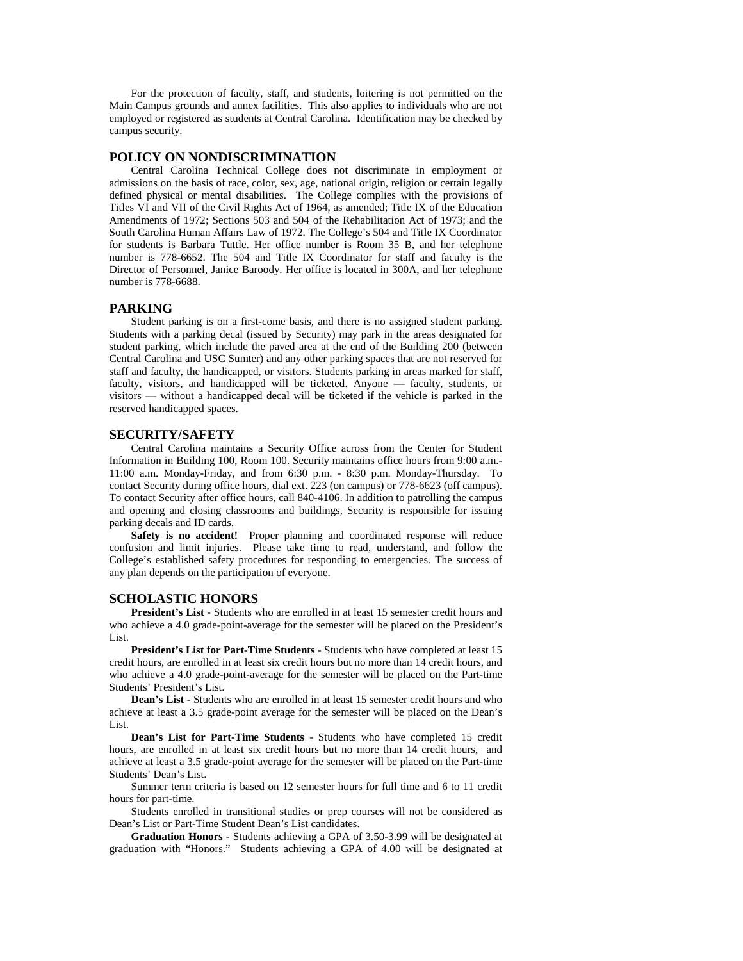For the protection of faculty, staff, and students, loitering is not permitted on the Main Campus grounds and annex facilities. This also applies to individuals who are not employed or registered as students at Central Carolina. Identification may be checked by campus security.

#### **POLICY ON NONDISCRIMINATION**

 Central Carolina Technical College does not discriminate in employment or admissions on the basis of race, color, sex, age, national origin, religion or certain legally defined physical or mental disabilities. The College complies with the provisions of Titles VI and VII of the Civil Rights Act of 1964, as amended; Title IX of the Education Amendments of 1972; Sections 503 and 504 of the Rehabilitation Act of 1973; and the South Carolina Human Affairs Law of 1972. The College's 504 and Title IX Coordinator for students is Barbara Tuttle. Her office number is Room 35 B, and her telephone number is 778-6652. The 504 and Title IX Coordinator for staff and faculty is the Director of Personnel, Janice Baroody. Her office is located in 300A, and her telephone number is 778-6688.

### **PARKING**

 Student parking is on a first-come basis, and there is no assigned student parking. Students with a parking decal (issued by Security) may park in the areas designated for student parking, which include the paved area at the end of the Building 200 (between Central Carolina and USC Sumter) and any other parking spaces that are not reserved for staff and faculty, the handicapped, or visitors. Students parking in areas marked for staff, faculty, visitors, and handicapped will be ticketed. Anyone — faculty, students, or visitors — without a handicapped decal will be ticketed if the vehicle is parked in the reserved handicapped spaces.

#### **SECURITY/SAFETY**

 Central Carolina maintains a Security Office across from the Center for Student Information in Building 100, Room 100. Security maintains office hours from 9:00 a.m.- 11:00 a.m. Monday-Friday, and from 6:30 p.m. - 8:30 p.m. Monday-Thursday. To contact Security during office hours, dial ext. 223 (on campus) or 778-6623 (off campus). To contact Security after office hours, call 840-4106. In addition to patrolling the campus and opening and closing classrooms and buildings, Security is responsible for issuing parking decals and ID cards.

Safety is no accident! Proper planning and coordinated response will reduce confusion and limit injuries. Please take time to read, understand, and follow the College's established safety procedures for responding to emergencies. The success of any plan depends on the participation of everyone.

# **SCHOLASTIC HONORS**

 **President's List** - Students who are enrolled in at least 15 semester credit hours and who achieve a 4.0 grade-point-average for the semester will be placed on the President's List.

 **President's List for Part-Time Students** - Students who have completed at least 15 credit hours, are enrolled in at least six credit hours but no more than 14 credit hours, and who achieve a 4.0 grade-point-average for the semester will be placed on the Part-time Students' President's List.

**Dean's List** - Students who are enrolled in at least 15 semester credit hours and who achieve at least a 3.5 grade-point average for the semester will be placed on the Dean's List.

**Dean's List for Part-Time Students** - Students who have completed 15 credit hours, are enrolled in at least six credit hours but no more than 14 credit hours, and achieve at least a 3.5 grade-point average for the semester will be placed on the Part-time Students' Dean's List.

 Summer term criteria is based on 12 semester hours for full time and 6 to 11 credit hours for part-time.

 Students enrolled in transitional studies or prep courses will not be considered as Dean's List or Part-Time Student Dean's List candidates.

**Graduation Honors** - Students achieving a GPA of 3.50-3.99 will be designated at graduation with "Honors." Students achieving a GPA of 4.00 will be designated at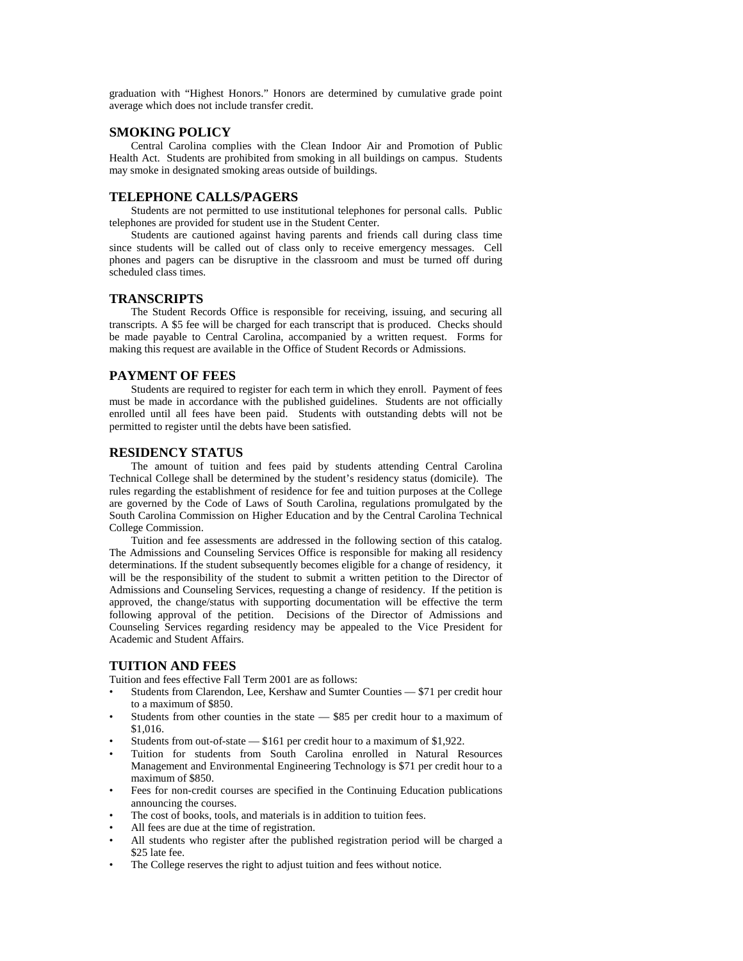graduation with "Highest Honors." Honors are determined by cumulative grade point average which does not include transfer credit.

# **SMOKING POLICY**

 Central Carolina complies with the Clean Indoor Air and Promotion of Public Health Act. Students are prohibited from smoking in all buildings on campus. Students may smoke in designated smoking areas outside of buildings.

#### **TELEPHONE CALLS/PAGERS**

 Students are not permitted to use institutional telephones for personal calls. Public telephones are provided for student use in the Student Center.

 Students are cautioned against having parents and friends call during class time since students will be called out of class only to receive emergency messages. Cell phones and pagers can be disruptive in the classroom and must be turned off during scheduled class times.

#### **TRANSCRIPTS**

 The Student Records Office is responsible for receiving, issuing, and securing all transcripts. A \$5 fee will be charged for each transcript that is produced. Checks should be made payable to Central Carolina, accompanied by a written request. Forms for making this request are available in the Office of Student Records or Admissions.

#### **PAYMENT OF FEES**

 Students are required to register for each term in which they enroll. Payment of fees must be made in accordance with the published guidelines. Students are not officially enrolled until all fees have been paid. Students with outstanding debts will not be permitted to register until the debts have been satisfied.

# **RESIDENCY STATUS**

 The amount of tuition and fees paid by students attending Central Carolina Technical College shall be determined by the student's residency status (domicile). The rules regarding the establishment of residence for fee and tuition purposes at the College are governed by the Code of Laws of South Carolina, regulations promulgated by the South Carolina Commission on Higher Education and by the Central Carolina Technical College Commission.

 Tuition and fee assessments are addressed in the following section of this catalog. The Admissions and Counseling Services Office is responsible for making all residency determinations. If the student subsequently becomes eligible for a change of residency, it will be the responsibility of the student to submit a written petition to the Director of Admissions and Counseling Services, requesting a change of residency. If the petition is approved, the change/status with supporting documentation will be effective the term following approval of the petition. Decisions of the Director of Admissions and Counseling Services regarding residency may be appealed to the Vice President for Academic and Student Affairs.

# **TUITION AND FEES**

Tuition and fees effective Fall Term 2001 are as follows:

- Students from Clarendon, Lee, Kershaw and Sumter Counties \$71 per credit hour to a maximum of \$850.
- Students from other counties in the state  $-$  \$85 per credit hour to a maximum of \$1,016.
- Students from out-of-state \$161 per credit hour to a maximum of \$1,922.
- Tuition for students from South Carolina enrolled in Natural Resources Management and Environmental Engineering Technology is \$71 per credit hour to a maximum of \$850.
- Fees for non-credit courses are specified in the Continuing Education publications announcing the courses.
- The cost of books, tools, and materials is in addition to tuition fees.
- All fees are due at the time of registration.
- All students who register after the published registration period will be charged a \$25 late fee.
- The College reserves the right to adjust tuition and fees without notice.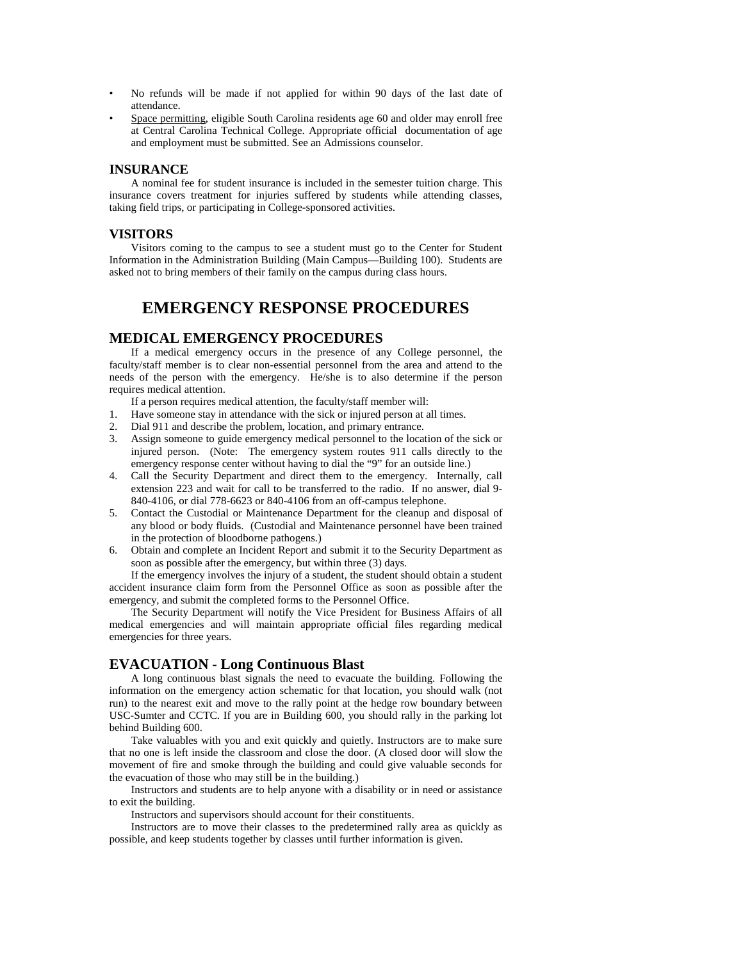- No refunds will be made if not applied for within 90 days of the last date of attendance.
- Space permitting, eligible South Carolina residents age 60 and older may enroll free at Central Carolina Technical College. Appropriate official documentation of age and employment must be submitted. See an Admissions counselor.

# **INSURANCE**

 A nominal fee for student insurance is included in the semester tuition charge. This insurance covers treatment for injuries suffered by students while attending classes, taking field trips, or participating in College-sponsored activities.

# **VISITORS**

 Visitors coming to the campus to see a student must go to the Center for Student Information in the Administration Building (Main Campus—Building 100). Students are asked not to bring members of their family on the campus during class hours.

# **EMERGENCY RESPONSE PROCEDURES**

# **MEDICAL EMERGENCY PROCEDURES**

 If a medical emergency occurs in the presence of any College personnel, the faculty/staff member is to clear non-essential personnel from the area and attend to the needs of the person with the emergency. He/she is to also determine if the person requires medical attention.

If a person requires medical attention, the faculty/staff member will:

- 1. Have someone stay in attendance with the sick or injured person at all times.
- 2. Dial 911 and describe the problem, location, and primary entrance.
- 3. Assign someone to guide emergency medical personnel to the location of the sick or injured person. (Note: The emergency system routes 911 calls directly to the emergency response center without having to dial the "9" for an outside line.)
- 4. Call the Security Department and direct them to the emergency. Internally, call extension 223 and wait for call to be transferred to the radio. If no answer, dial 9- 840-4106, or dial 778-6623 or 840-4106 from an off-campus telephone.
- 5. Contact the Custodial or Maintenance Department for the cleanup and disposal of any blood or body fluids. (Custodial and Maintenance personnel have been trained in the protection of bloodborne pathogens.)
- 6. Obtain and complete an Incident Report and submit it to the Security Department as soon as possible after the emergency, but within three (3) days.

 If the emergency involves the injury of a student, the student should obtain a student accident insurance claim form from the Personnel Office as soon as possible after the emergency, and submit the completed forms to the Personnel Office.

 The Security Department will notify the Vice President for Business Affairs of all medical emergencies and will maintain appropriate official files regarding medical emergencies for three years.

# **EVACUATION - Long Continuous Blast**

 A long continuous blast signals the need to evacuate the building. Following the information on the emergency action schematic for that location, you should walk (not run) to the nearest exit and move to the rally point at the hedge row boundary between USC-Sumter and CCTC. If you are in Building 600, you should rally in the parking lot behind Building 600.

 Take valuables with you and exit quickly and quietly. Instructors are to make sure that no one is left inside the classroom and close the door. (A closed door will slow the movement of fire and smoke through the building and could give valuable seconds for the evacuation of those who may still be in the building.)

 Instructors and students are to help anyone with a disability or in need or assistance to exit the building.

Instructors and supervisors should account for their constituents.

 Instructors are to move their classes to the predetermined rally area as quickly as possible, and keep students together by classes until further information is given.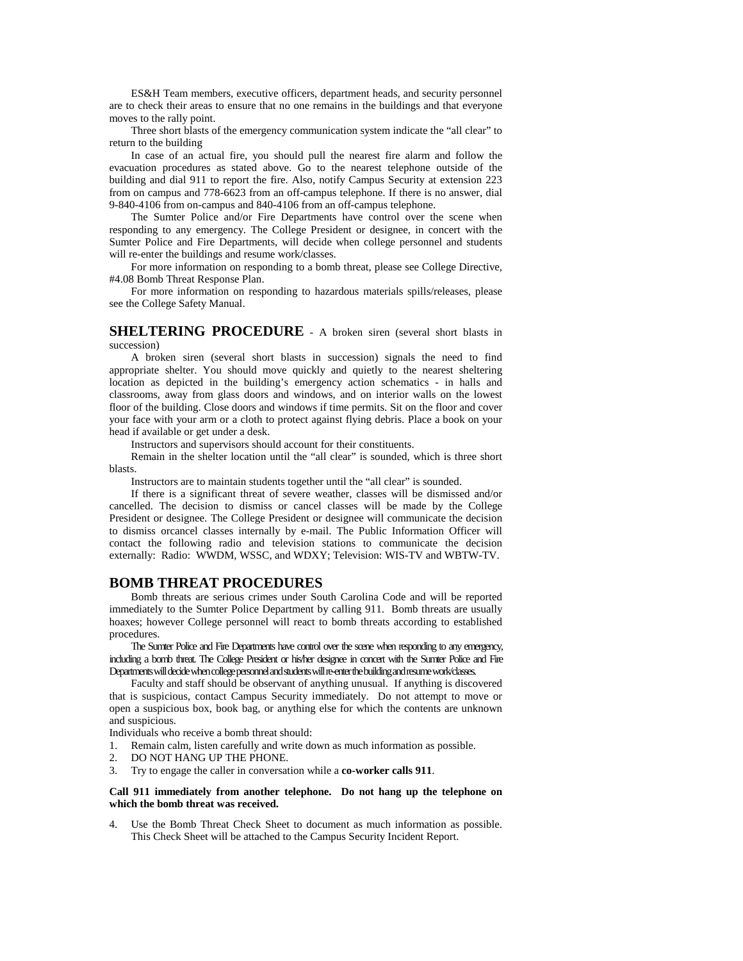ES&H Team members, executive officers, department heads, and security personnel are to check their areas to ensure that no one remains in the buildings and that everyone moves to the rally point.

 Three short blasts of the emergency communication system indicate the "all clear" to return to the building

 In case of an actual fire, you should pull the nearest fire alarm and follow the evacuation procedures as stated above. Go to the nearest telephone outside of the building and dial 911 to report the fire. Also, notify Campus Security at extension 223 from on campus and 778-6623 from an off-campus telephone. If there is no answer, dial 9-840-4106 from on-campus and 840-4106 from an off-campus telephone.

 The Sumter Police and/or Fire Departments have control over the scene when responding to any emergency. The College President or designee, in concert with the Sumter Police and Fire Departments, will decide when college personnel and students will re-enter the buildings and resume work/classes.

 For more information on responding to a bomb threat, please see College Directive, #4.08 Bomb Threat Response Plan.

 For more information on responding to hazardous materials spills/releases, please see the College Safety Manual.

# **SHELTERING PROCEDURE** - A broken siren (several short blasts in succession)

 A broken siren (several short blasts in succession) signals the need to find appropriate shelter. You should move quickly and quietly to the nearest sheltering location as depicted in the building's emergency action schematics - in halls and classrooms, away from glass doors and windows, and on interior walls on the lowest floor of the building. Close doors and windows if time permits. Sit on the floor and cover your face with your arm or a cloth to protect against flying debris. Place a book on your head if available or get under a desk.

Instructors and supervisors should account for their constituents.

 Remain in the shelter location until the "all clear" is sounded, which is three short blasts.

Instructors are to maintain students together until the "all clear" is sounded.

 If there is a significant threat of severe weather, classes will be dismissed and/or cancelled. The decision to dismiss or cancel classes will be made by the College President or designee. The College President or designee will communicate the decision to dismiss orcancel classes internally by e-mail. The Public Information Officer will contact the following radio and television stations to communicate the decision externally: Radio: WWDM, WSSC, and WDXY; Television: WIS-TV and WBTW-TV.

# **BOMB THREAT PROCEDURES**

 Bomb threats are serious crimes under South Carolina Code and will be reported immediately to the Sumter Police Department by calling 911. Bomb threats are usually hoaxes; however College personnel will react to bomb threats according to established procedures.

 The Sumter Police and Fire Departments have control over the scene when responding to any emergency, including a bomb threat. The College President or his/her designee in concert with the Sumter Police and Fire Departments will decide when college personnel and students will re-enter the building and resume work/classes.

 Faculty and staff should be observant of anything unusual. If anything is discovered that is suspicious, contact Campus Security immediately. Do not attempt to move or open a suspicious box, book bag, or anything else for which the contents are unknown and suspicious.

Individuals who receive a bomb threat should:

- 1. Remain calm, listen carefully and write down as much information as possible.
- 2. DO NOT HANG UP THE PHONE.
- 3. Try to engage the caller in conversation while a **co-worker calls 911**.

#### **Call 911 immediately from another telephone. Do not hang up the telephone on which the bomb threat was received.**

4. Use the Bomb Threat Check Sheet to document as much information as possible. This Check Sheet will be attached to the Campus Security Incident Report.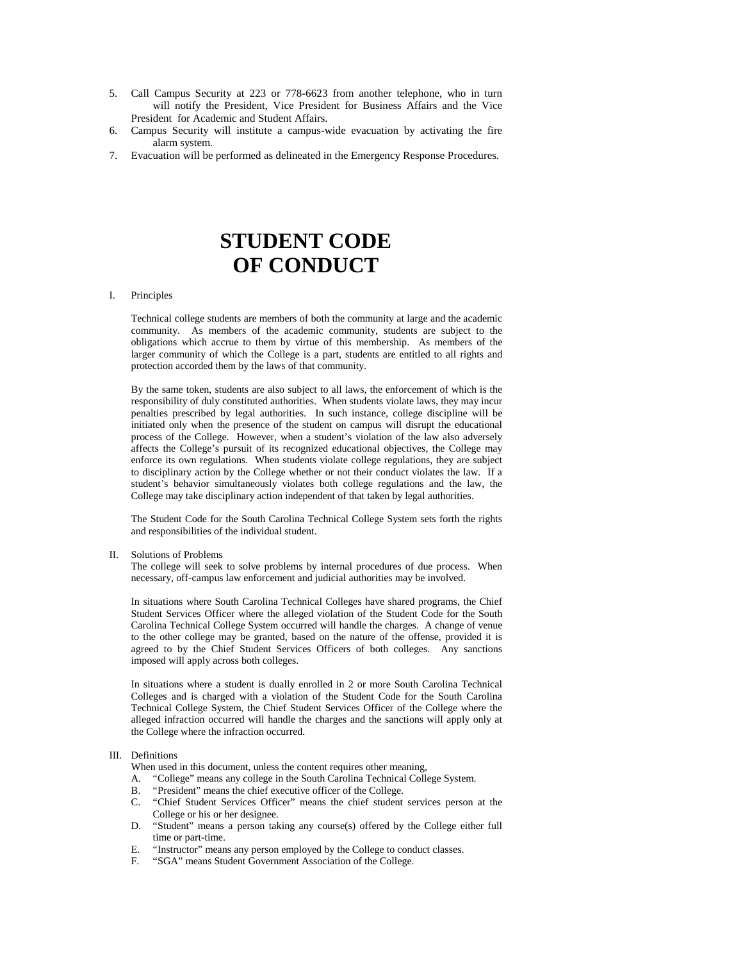- 5. Call Campus Security at 223 or 778-6623 from another telephone, who in turn will notify the President, Vice President for Business Affairs and the Vice President for Academic and Student Affairs.
- 6. Campus Security will institute a campus-wide evacuation by activating the fire alarm system.
- 7. Evacuation will be performed as delineated in the Emergency Response Procedures.

# **STUDENT CODE OF CONDUCT**

#### I. Principles

Technical college students are members of both the community at large and the academic community. As members of the academic community, students are subject to the obligations which accrue to them by virtue of this membership. As members of the larger community of which the College is a part, students are entitled to all rights and protection accorded them by the laws of that community.

By the same token, students are also subject to all laws, the enforcement of which is the responsibility of duly constituted authorities. When students violate laws, they may incur penalties prescribed by legal authorities. In such instance, college discipline will be initiated only when the presence of the student on campus will disrupt the educational process of the College. However, when a student's violation of the law also adversely affects the College's pursuit of its recognized educational objectives, the College may enforce its own regulations. When students violate college regulations, they are subject to disciplinary action by the College whether or not their conduct violates the law. If a student's behavior simultaneously violates both college regulations and the law, the College may take disciplinary action independent of that taken by legal authorities.

The Student Code for the South Carolina Technical College System sets forth the rights and responsibilities of the individual student.

II. Solutions of Problems

The college will seek to solve problems by internal procedures of due process. When necessary, off-campus law enforcement and judicial authorities may be involved.

In situations where South Carolina Technical Colleges have shared programs, the Chief Student Services Officer where the alleged violation of the Student Code for the South Carolina Technical College System occurred will handle the charges. A change of venue to the other college may be granted, based on the nature of the offense, provided it is agreed to by the Chief Student Services Officers of both colleges. Any sanctions imposed will apply across both colleges.

In situations where a student is dually enrolled in 2 or more South Carolina Technical Colleges and is charged with a violation of the Student Code for the South Carolina Technical College System, the Chief Student Services Officer of the College where the alleged infraction occurred will handle the charges and the sanctions will apply only at the College where the infraction occurred.

#### III. Definitions

When used in this document, unless the content requires other meaning,

- A. "College" means any college in the South Carolina Technical College System.
- B. "President" means the chief executive officer of the College.
- C. "Chief Student Services Officer" means the chief student services person at the College or his or her designee.
- D. "Student" means a person taking any course(s) offered by the College either full time or part-time.
- E. "Instructor" means any person employed by the College to conduct classes.
- F. "SGA" means Student Government Association of the College.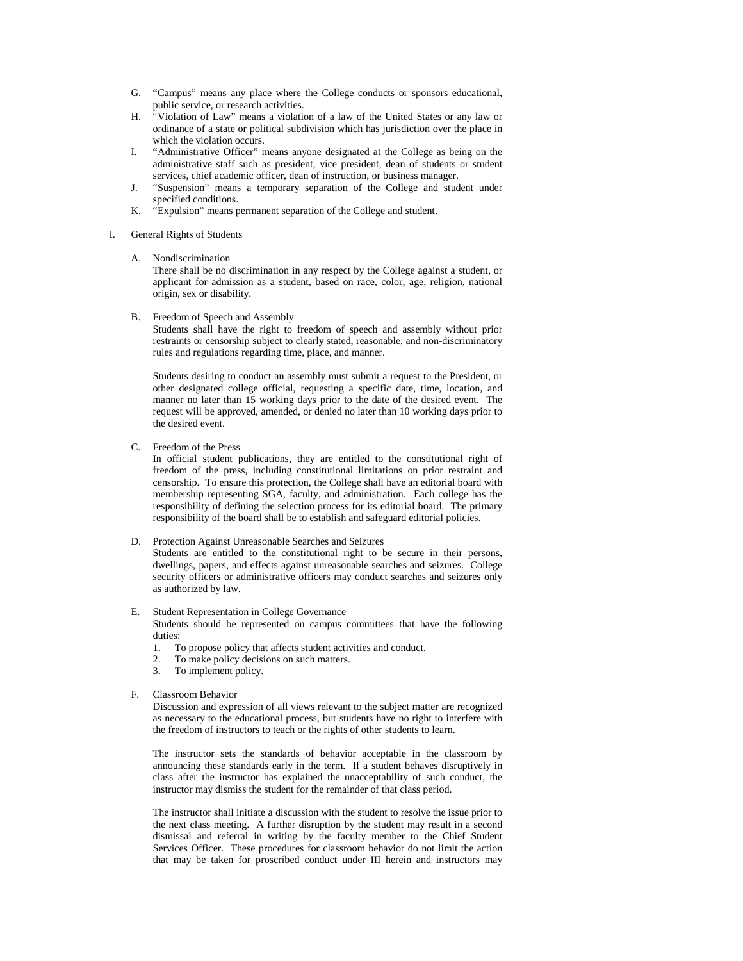- G. "Campus" means any place where the College conducts or sponsors educational, public service, or research activities.
- H. "Violation of Law" means a violation of a law of the United States or any law or ordinance of a state or political subdivision which has jurisdiction over the place in which the violation occurs.
- I. "Administrative Officer" means anyone designated at the College as being on the administrative staff such as president, vice president, dean of students or student services, chief academic officer, dean of instruction, or business manager.
- J. "Suspension" means a temporary separation of the College and student under specified conditions.
- K. "Expulsion" means permanent separation of the College and student.

#### I. General Rights of Students

#### A. Nondiscrimination

 There shall be no discrimination in any respect by the College against a student, or applicant for admission as a student, based on race, color, age, religion, national origin, sex or disability.

B. Freedom of Speech and Assembly

 Students shall have the right to freedom of speech and assembly without prior restraints or censorship subject to clearly stated, reasonable, and non-discriminatory rules and regulations regarding time, place, and manner.

 Students desiring to conduct an assembly must submit a request to the President, or other designated college official, requesting a specific date, time, location, and manner no later than 15 working days prior to the date of the desired event. The request will be approved, amended, or denied no later than 10 working days prior to the desired event.

C. Freedom of the Press

 In official student publications, they are entitled to the constitutional right of freedom of the press, including constitutional limitations on prior restraint and censorship. To ensure this protection, the College shall have an editorial board with membership representing SGA, faculty, and administration. Each college has the responsibility of defining the selection process for its editorial board. The primary responsibility of the board shall be to establish and safeguard editorial policies.

#### D. Protection Against Unreasonable Searches and Seizures

 Students are entitled to the constitutional right to be secure in their persons, dwellings, papers, and effects against unreasonable searches and seizures. College security officers or administrative officers may conduct searches and seizures only as authorized by law.

#### E. Student Representation in College Governance

 Students should be represented on campus committees that have the following duties:

- 1. To propose policy that affects student activities and conduct.
- 2. To make policy decisions on such matters.
- 3. To implement policy.

#### F. Classroom Behavior

 Discussion and expression of all views relevant to the subject matter are recognized as necessary to the educational process, but students have no right to interfere with the freedom of instructors to teach or the rights of other students to learn.

 The instructor sets the standards of behavior acceptable in the classroom by announcing these standards early in the term. If a student behaves disruptively in class after the instructor has explained the unacceptability of such conduct, the instructor may dismiss the student for the remainder of that class period.

 The instructor shall initiate a discussion with the student to resolve the issue prior to the next class meeting. A further disruption by the student may result in a second dismissal and referral in writing by the faculty member to the Chief Student Services Officer. These procedures for classroom behavior do not limit the action that may be taken for proscribed conduct under III herein and instructors may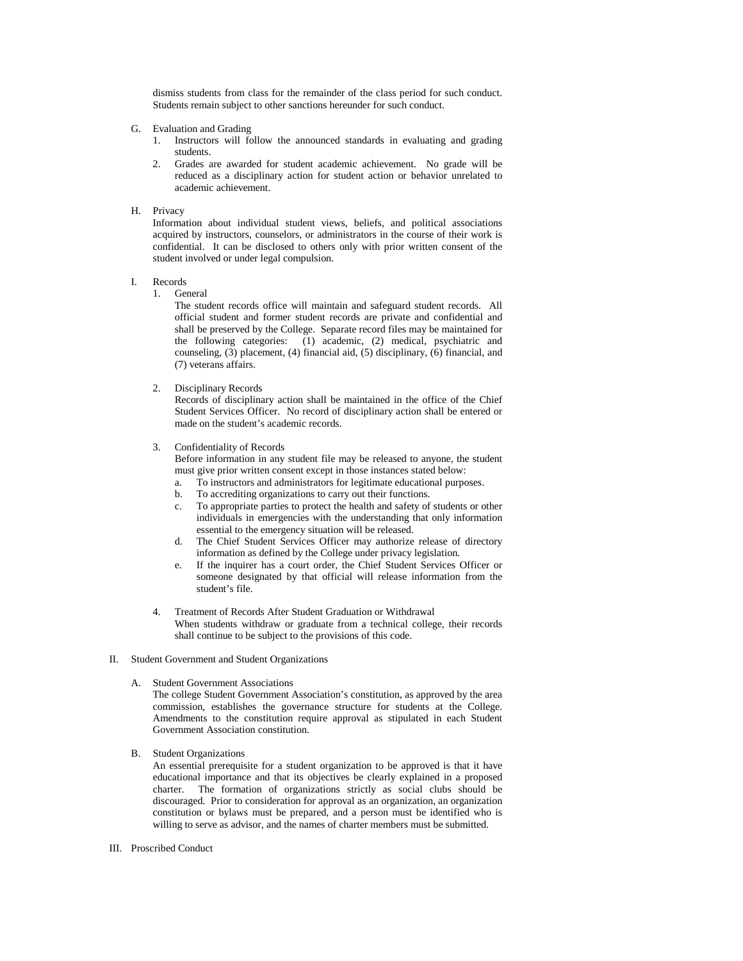dismiss students from class for the remainder of the class period for such conduct. Students remain subject to other sanctions hereunder for such conduct.

- G. Evaluation and Grading
	- 1. Instructors will follow the announced standards in evaluating and grading students.
	- 2. Grades are awarded for student academic achievement. No grade will be reduced as a disciplinary action for student action or behavior unrelated to academic achievement.
- H. Privacy

 Information about individual student views, beliefs, and political associations acquired by instructors, counselors, or administrators in the course of their work is confidential. It can be disclosed to others only with prior written consent of the student involved or under legal compulsion.

I. Records 1. General

 The student records office will maintain and safeguard student records. All official student and former student records are private and confidential and shall be preserved by the College. Separate record files may be maintained for the following categories: (1) academic, (2) medical, psychiatric and counseling, (3) placement, (4) financial aid, (5) disciplinary, (6) financial, and (7) veterans affairs.

2. Disciplinary Records

 Records of disciplinary action shall be maintained in the office of the Chief Student Services Officer. No record of disciplinary action shall be entered or made on the student's academic records.

3. Confidentiality of Records

 Before information in any student file may be released to anyone, the student must give prior written consent except in those instances stated below:

- a. To instructors and administrators for legitimate educational purposes.
- b. To accrediting organizations to carry out their functions.
- c. To appropriate parties to protect the health and safety of students or other individuals in emergencies with the understanding that only information essential to the emergency situation will be released.
- d. The Chief Student Services Officer may authorize release of directory information as defined by the College under privacy legislation.
- e. If the inquirer has a court order, the Chief Student Services Officer or someone designated by that official will release information from the student's file.
- 4. Treatment of Records After Student Graduation or Withdrawal When students withdraw or graduate from a technical college, their records shall continue to be subject to the provisions of this code.
- II. Student Government and Student Organizations
	- A. Student Government Associations

 The college Student Government Association's constitution, as approved by the area commission, establishes the governance structure for students at the College. Amendments to the constitution require approval as stipulated in each Student Government Association constitution.

B. Student Organizations

 An essential prerequisite for a student organization to be approved is that it have educational importance and that its objectives be clearly explained in a proposed charter. The formation of organizations strictly as social clubs should be discouraged. Prior to consideration for approval as an organization, an organization constitution or bylaws must be prepared, and a person must be identified who is willing to serve as advisor, and the names of charter members must be submitted.

III. Proscribed Conduct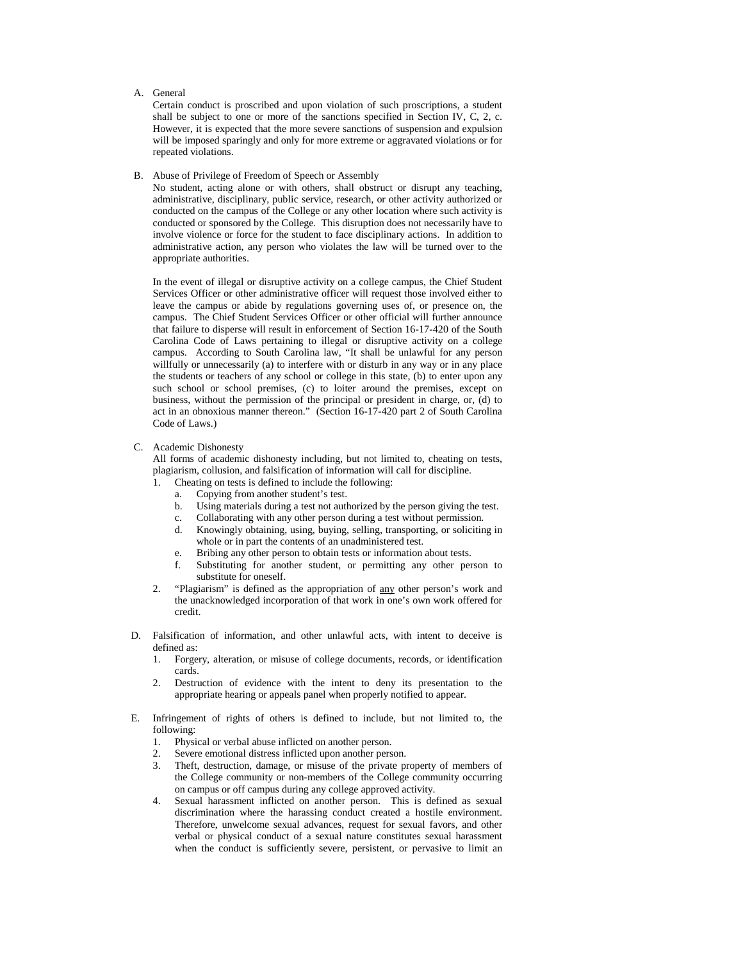#### A. General

 Certain conduct is proscribed and upon violation of such proscriptions, a student shall be subject to one or more of the sanctions specified in Section IV, C, 2, c. However, it is expected that the more severe sanctions of suspension and expulsion will be imposed sparingly and only for more extreme or aggravated violations or for repeated violations.

#### B. Abuse of Privilege of Freedom of Speech or Assembly

 No student, acting alone or with others, shall obstruct or disrupt any teaching, administrative, disciplinary, public service, research, or other activity authorized or conducted on the campus of the College or any other location where such activity is conducted or sponsored by the College. This disruption does not necessarily have to involve violence or force for the student to face disciplinary actions. In addition to administrative action, any person who violates the law will be turned over to the appropriate authorities.

 In the event of illegal or disruptive activity on a college campus, the Chief Student Services Officer or other administrative officer will request those involved either to leave the campus or abide by regulations governing uses of, or presence on, the campus. The Chief Student Services Officer or other official will further announce that failure to disperse will result in enforcement of Section 16-17-420 of the South Carolina Code of Laws pertaining to illegal or disruptive activity on a college campus. According to South Carolina law, "It shall be unlawful for any person willfully or unnecessarily (a) to interfere with or disturb in any way or in any place the students or teachers of any school or college in this state, (b) to enter upon any such school or school premises, (c) to loiter around the premises, except on business, without the permission of the principal or president in charge, or, (d) to act in an obnoxious manner thereon." (Section 16-17-420 part 2 of South Carolina Code of Laws.)

### C. Academic Dishonesty

 All forms of academic dishonesty including, but not limited to, cheating on tests, plagiarism, collusion, and falsification of information will call for discipline.

- 1. Cheating on tests is defined to include the following:
	- a. Copying from another student's test.
	- b. Using materials during a test not authorized by the person giving the test.
	- c. Collaborating with any other person during a test without permission.
	- d. Knowingly obtaining, using, buying, selling, transporting, or soliciting in whole or in part the contents of an unadministered test.
	- e. Bribing any other person to obtain tests or information about tests.
	- f. Substituting for another student, or permitting any other person to substitute for oneself.
- 2. "Plagiarism" is defined as the appropriation of any other person's work and the unacknowledged incorporation of that work in one's own work offered for credit.
- D. Falsification of information, and other unlawful acts, with intent to deceive is defined as:
	- 1. Forgery, alteration, or misuse of college documents, records, or identification cards.
	- 2. Destruction of evidence with the intent to deny its presentation to the appropriate hearing or appeals panel when properly notified to appear.
- E. Infringement of rights of others is defined to include, but not limited to, the following:
	- 1. Physical or verbal abuse inflicted on another person.
	- 2. Severe emotional distress inflicted upon another person.
	- 3. Theft, destruction, damage, or misuse of the private property of members of the College community or non-members of the College community occurring on campus or off campus during any college approved activity.
	- 4. Sexual harassment inflicted on another person. This is defined as sexual discrimination where the harassing conduct created a hostile environment. Therefore, unwelcome sexual advances, request for sexual favors, and other verbal or physical conduct of a sexual nature constitutes sexual harassment when the conduct is sufficiently severe, persistent, or pervasive to limit an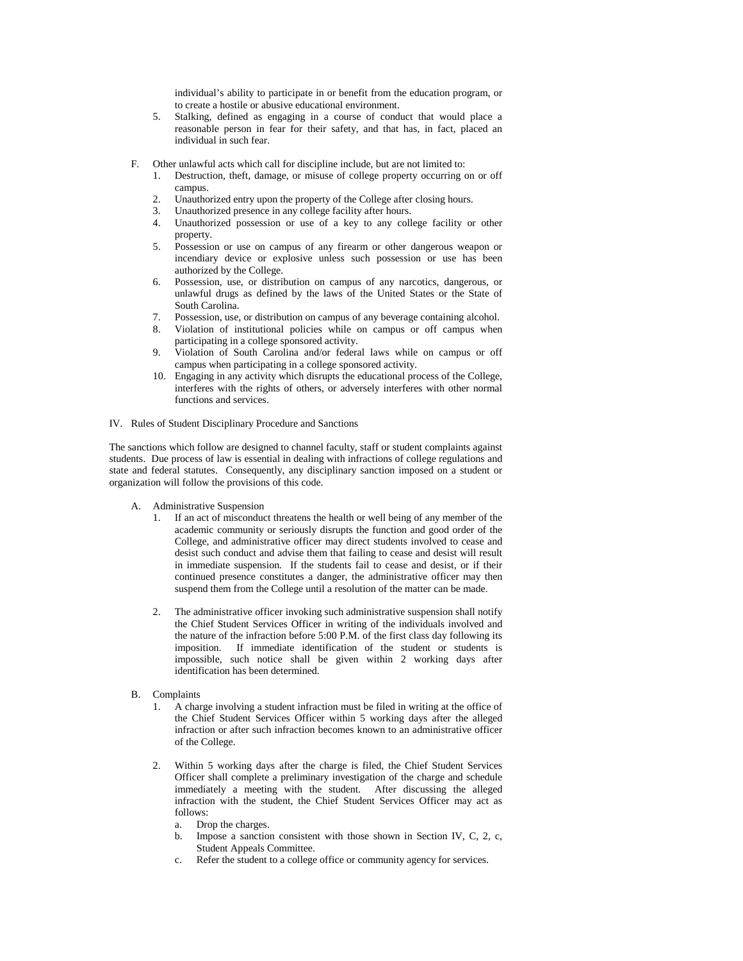individual's ability to participate in or benefit from the education program, or to create a hostile or abusive educational environment.

- 5. Stalking, defined as engaging in a course of conduct that would place a reasonable person in fear for their safety, and that has, in fact, placed an individual in such fear.
- F. Other unlawful acts which call for discipline include, but are not limited to:
	- 1. Destruction, theft, damage, or misuse of college property occurring on or off campus.
	- 2. Unauthorized entry upon the property of the College after closing hours.
	- 3. Unauthorized presence in any college facility after hours.
	- 4. Unauthorized possession or use of a key to any college facility or other property.
	- 5. Possession or use on campus of any firearm or other dangerous weapon or incendiary device or explosive unless such possession or use has been authorized by the College.
	- 6. Possession, use, or distribution on campus of any narcotics, dangerous, or unlawful drugs as defined by the laws of the United States or the State of South Carolina.
	- 7. Possession, use, or distribution on campus of any beverage containing alcohol.
	- 8. Violation of institutional policies while on campus or off campus when participating in a college sponsored activity.
	- 9. Violation of South Carolina and/or federal laws while on campus or off campus when participating in a college sponsored activity.
	- 10. Engaging in any activity which disrupts the educational process of the College, interferes with the rights of others, or adversely interferes with other normal functions and services.

#### IV. Rules of Student Disciplinary Procedure and Sanctions

The sanctions which follow are designed to channel faculty, staff or student complaints against students. Due process of law is essential in dealing with infractions of college regulations and state and federal statutes. Consequently, any disciplinary sanction imposed on a student or organization will follow the provisions of this code.

- A. Administrative Suspension
	- 1. If an act of misconduct threatens the health or well being of any member of the academic community or seriously disrupts the function and good order of the College, and administrative officer may direct students involved to cease and desist such conduct and advise them that failing to cease and desist will result in immediate suspension. If the students fail to cease and desist, or if their continued presence constitutes a danger, the administrative officer may then suspend them from the College until a resolution of the matter can be made.
	- The administrative officer invoking such administrative suspension shall notify the Chief Student Services Officer in writing of the individuals involved and the nature of the infraction before 5:00 P.M. of the first class day following its imposition. If immediate identification of the student or students is impossible, such notice shall be given within 2 working days after identification has been determined.
- B. Complaints
	- 1. A charge involving a student infraction must be filed in writing at the office of the Chief Student Services Officer within 5 working days after the alleged infraction or after such infraction becomes known to an administrative officer of the College.
	- Within 5 working days after the charge is filed, the Chief Student Services Officer shall complete a preliminary investigation of the charge and schedule immediately a meeting with the student. After discussing the alleged infraction with the student, the Chief Student Services Officer may act as follows:
		- a. Drop the charges.
		- b. Impose a sanction consistent with those shown in Section IV, C, 2, c, Student Appeals Committee.
		- c. Refer the student to a college office or community agency for services.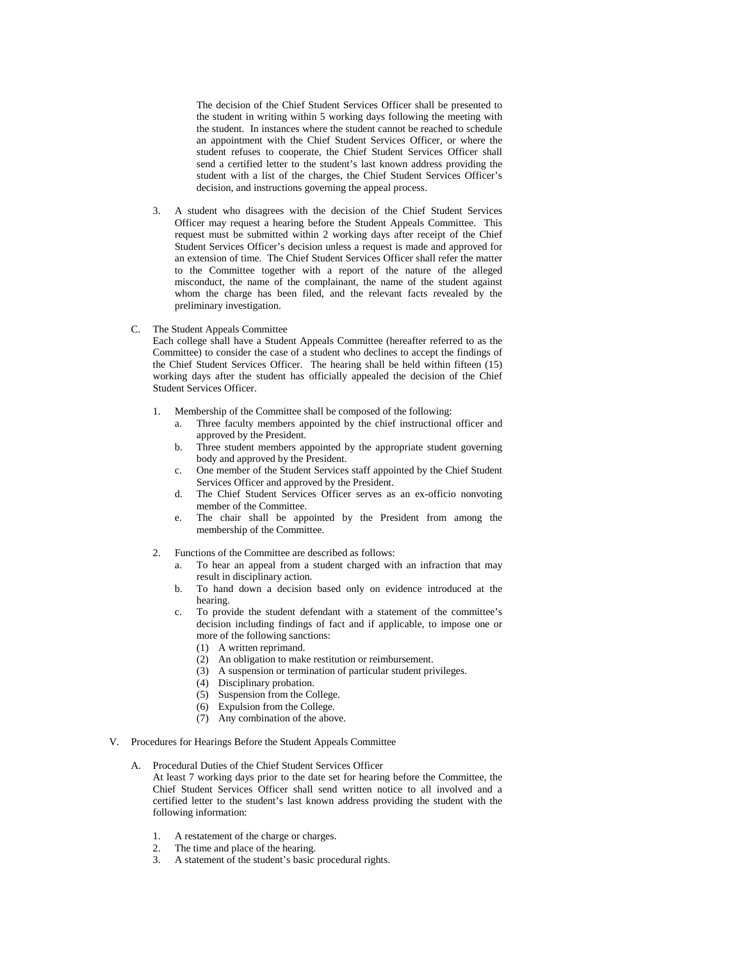The decision of the Chief Student Services Officer shall be presented to the student in writing within 5 working days following the meeting with the student. In instances where the student cannot be reached to schedule an appointment with the Chief Student Services Officer, or where the student refuses to cooperate, the Chief Student Services Officer shall send a certified letter to the student's last known address providing the student with a list of the charges, the Chief Student Services Officer's decision, and instructions governing the appeal process.

- 3. A student who disagrees with the decision of the Chief Student Services Officer may request a hearing before the Student Appeals Committee. This request must be submitted within 2 working days after receipt of the Chief Student Services Officer's decision unless a request is made and approved for an extension of time. The Chief Student Services Officer shall refer the matter to the Committee together with a report of the nature of the alleged misconduct, the name of the complainant, the name of the student against whom the charge has been filed, and the relevant facts revealed by the preliminary investigation.
- C. The Student Appeals Committee

 Each college shall have a Student Appeals Committee (hereafter referred to as the Committee) to consider the case of a student who declines to accept the findings of the Chief Student Services Officer. The hearing shall be held within fifteen  $(15)$ working days after the student has officially appealed the decision of the Chief Student Services Officer.

- 1. Membership of the Committee shall be composed of the following:
	- a. Three faculty members appointed by the chief instructional officer and approved by the President.
	- b. Three student members appointed by the appropriate student governing body and approved by the President.
	- c. One member of the Student Services staff appointed by the Chief Student Services Officer and approved by the President.
	- d. The Chief Student Services Officer serves as an ex-officio nonvoting member of the Committee.
	- e. The chair shall be appointed by the President from among the membership of the Committee.
- 2. Functions of the Committee are described as follows:
	- a. To hear an appeal from a student charged with an infraction that may result in disciplinary action.
	- b. To hand down a decision based only on evidence introduced at the hearing.
	- c. To provide the student defendant with a statement of the committee's decision including findings of fact and if applicable, to impose one or more of the following sanctions:
		- (1) A written reprimand.
		- (2) An obligation to make restitution or reimbursement.
		- (3) A suspension or termination of particular student privileges.
		- (4) Disciplinary probation.
		- (5) Suspension from the College.
		- (6) Expulsion from the College.
		- (7) Any combination of the above.
- V. Procedures for Hearings Before the Student Appeals Committee
	- A. Procedural Duties of the Chief Student Services Officer
		- At least 7 working days prior to the date set for hearing before the Committee, the Chief Student Services Officer shall send written notice to all involved and a certified letter to the student's last known address providing the student with the following information:
			- 1. A restatement of the charge or charges.
			- 2. The time and place of the hearing.
			- 3. A statement of the student's basic procedural rights.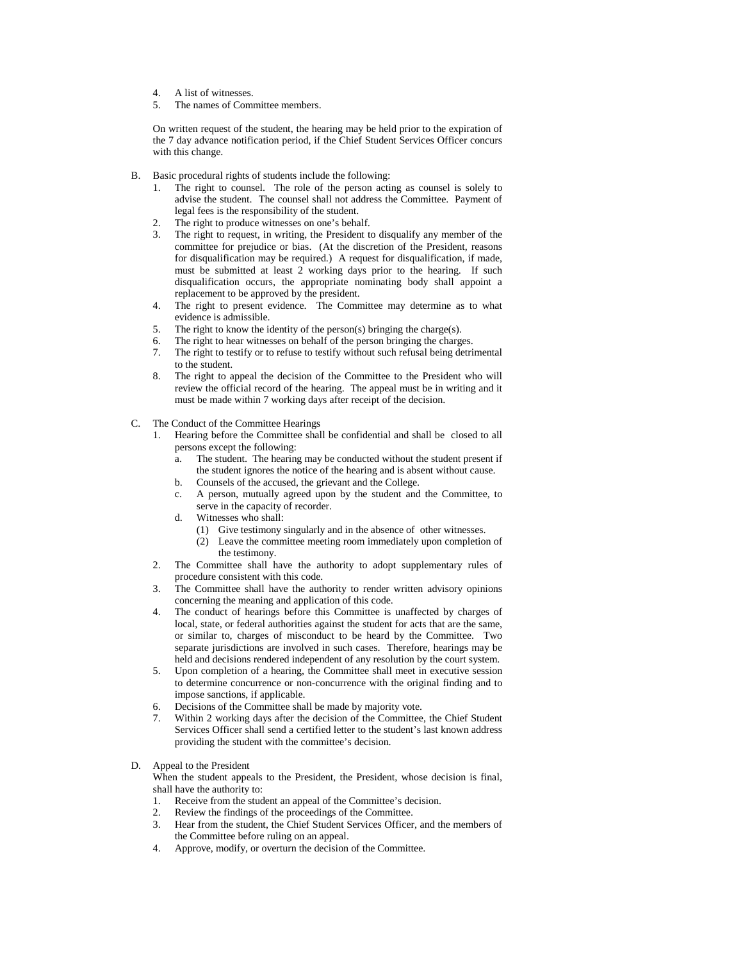- 4. A list of witnesses.
- 5. The names of Committee members.

On written request of the student, the hearing may be held prior to the expiration of the 7 day advance notification period, if the Chief Student Services Officer concurs with this change.

- B. Basic procedural rights of students include the following:
	- 1. The right to counsel. The role of the person acting as counsel is solely to advise the student. The counsel shall not address the Committee. Payment of legal fees is the responsibility of the student.
	- 2. The right to produce witnesses on one's behalf.
	- 3. The right to request, in writing, the President to disqualify any member of the committee for prejudice or bias. (At the discretion of the President, reasons for disqualification may be required.) A request for disqualification, if made, must be submitted at least 2 working days prior to the hearing. If such disqualification occurs, the appropriate nominating body shall appoint a replacement to be approved by the president.
	- 4. The right to present evidence. The Committee may determine as to what evidence is admissible.
	- 5. The right to know the identity of the person(s) bringing the charge(s).<br>6. The right to hear witnesses on behalf of the person bringing the charge
	- The right to hear witnesses on behalf of the person bringing the charges.
	- 7. The right to testify or to refuse to testify without such refusal being detrimental to the student.
	- 8. The right to appeal the decision of the Committee to the President who will review the official record of the hearing. The appeal must be in writing and it must be made within 7 working days after receipt of the decision.
- C. The Conduct of the Committee Hearings
	- 1. Hearing before the Committee shall be confidential and shall be closed to all persons except the following:
		- a. The student. The hearing may be conducted without the student present if the student ignores the notice of the hearing and is absent without cause.
		- b. Counsels of the accused, the grievant and the College.
		- c. A person, mutually agreed upon by the student and the Committee, to serve in the capacity of recorder.
		- d. Witnesses who shall:
			- (1) Give testimony singularly and in the absence of other witnesses.
			- (2) Leave the committee meeting room immediately upon completion of the testimony.
	- 2. The Committee shall have the authority to adopt supplementary rules of procedure consistent with this code.
	- 3. The Committee shall have the authority to render written advisory opinions concerning the meaning and application of this code.
	- 4. The conduct of hearings before this Committee is unaffected by charges of local, state, or federal authorities against the student for acts that are the same, or similar to, charges of misconduct to be heard by the Committee. Two separate jurisdictions are involved in such cases. Therefore, hearings may be held and decisions rendered independent of any resolution by the court system.
	- 5. Upon completion of a hearing, the Committee shall meet in executive session to determine concurrence or non-concurrence with the original finding and to impose sanctions, if applicable.
	- 6. Decisions of the Committee shall be made by majority vote.
	- 7. Within 2 working days after the decision of the Committee, the Chief Student Services Officer shall send a certified letter to the student's last known address providing the student with the committee's decision.
- D. Appeal to the President

 When the student appeals to the President, the President, whose decision is final, shall have the authority to:

- 1. Receive from the student an appeal of the Committee's decision.
- 
- 2. Review the findings of the proceedings of the Committee.<br>3. Hear from the student, the Chief Student Services Officer Hear from the student, the Chief Student Services Officer, and the members of the Committee before ruling on an appeal.
- 4. Approve, modify, or overturn the decision of the Committee.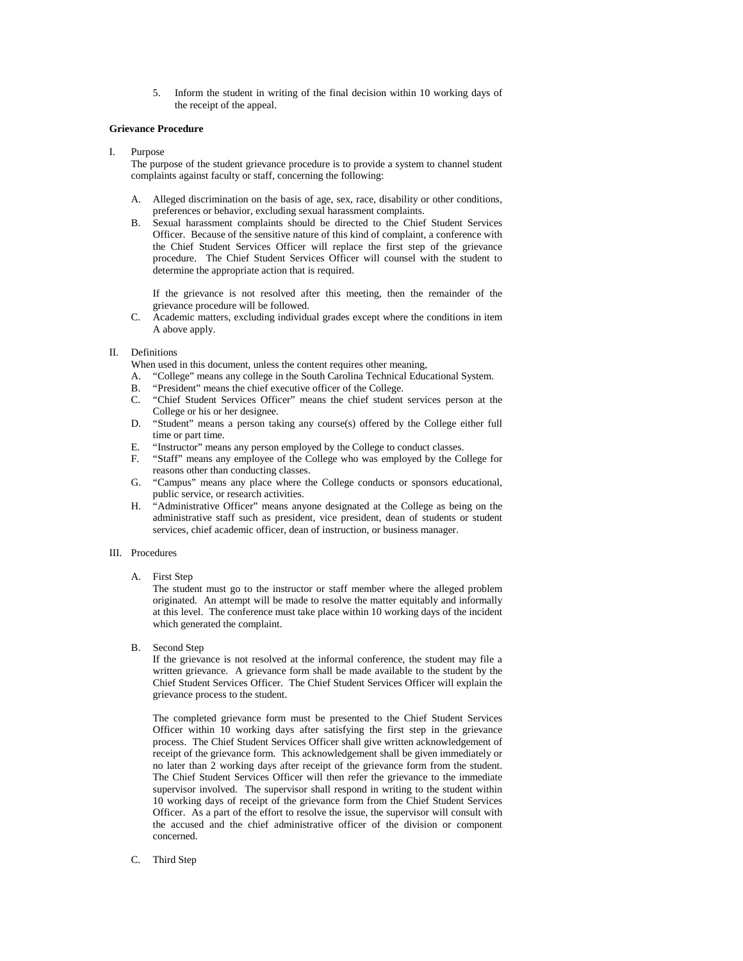5. Inform the student in writing of the final decision within 10 working days of the receipt of the appeal.

#### **Grievance Procedure**

I. Purpose

 The purpose of the student grievance procedure is to provide a system to channel student complaints against faculty or staff, concerning the following:

- A. Alleged discrimination on the basis of age, sex, race, disability or other conditions, preferences or behavior, excluding sexual harassment complaints.
- B. Sexual harassment complaints should be directed to the Chief Student Services Officer. Because of the sensitive nature of this kind of complaint, a conference with the Chief Student Services Officer will replace the first step of the grievance procedure. The Chief Student Services Officer will counsel with the student to determine the appropriate action that is required.

 If the grievance is not resolved after this meeting, then the remainder of the grievance procedure will be followed.

- C. Academic matters, excluding individual grades except where the conditions in item A above apply.
- II. Definitions

When used in this document, unless the content requires other meaning,

- A. "College" means any college in the South Carolina Technical Educational System.
- B. "President" means the chief executive officer of the College.
- C. "Chief Student Services Officer" means the chief student services person at the College or his or her designee.
- D. "Student" means a person taking any course(s) offered by the College either full time or part time.
- E. "Instructor" means any person employed by the College to conduct classes.
- F. "Staff" means any employee of the College who was employed by the College for reasons other than conducting classes.
- G. "Campus" means any place where the College conducts or sponsors educational, public service, or research activities.
- H. "Administrative Officer" means anyone designated at the College as being on the administrative staff such as president, vice president, dean of students or student services, chief academic officer, dean of instruction, or business manager.

#### III. Procedures

A. First Step

 The student must go to the instructor or staff member where the alleged problem originated. An attempt will be made to resolve the matter equitably and informally at this level. The conference must take place within 10 working days of the incident which generated the complaint.

B. Second Step

 If the grievance is not resolved at the informal conference, the student may file a written grievance. A grievance form shall be made available to the student by the Chief Student Services Officer. The Chief Student Services Officer will explain the grievance process to the student.

 The completed grievance form must be presented to the Chief Student Services Officer within 10 working days after satisfying the first step in the grievance process. The Chief Student Services Officer shall give written acknowledgement of receipt of the grievance form. This acknowledgement shall be given immediately or no later than 2 working days after receipt of the grievance form from the student. The Chief Student Services Officer will then refer the grievance to the immediate supervisor involved. The supervisor shall respond in writing to the student within 10 working days of receipt of the grievance form from the Chief Student Services Officer. As a part of the effort to resolve the issue, the supervisor will consult with the accused and the chief administrative officer of the division or component concerned.

C. Third Step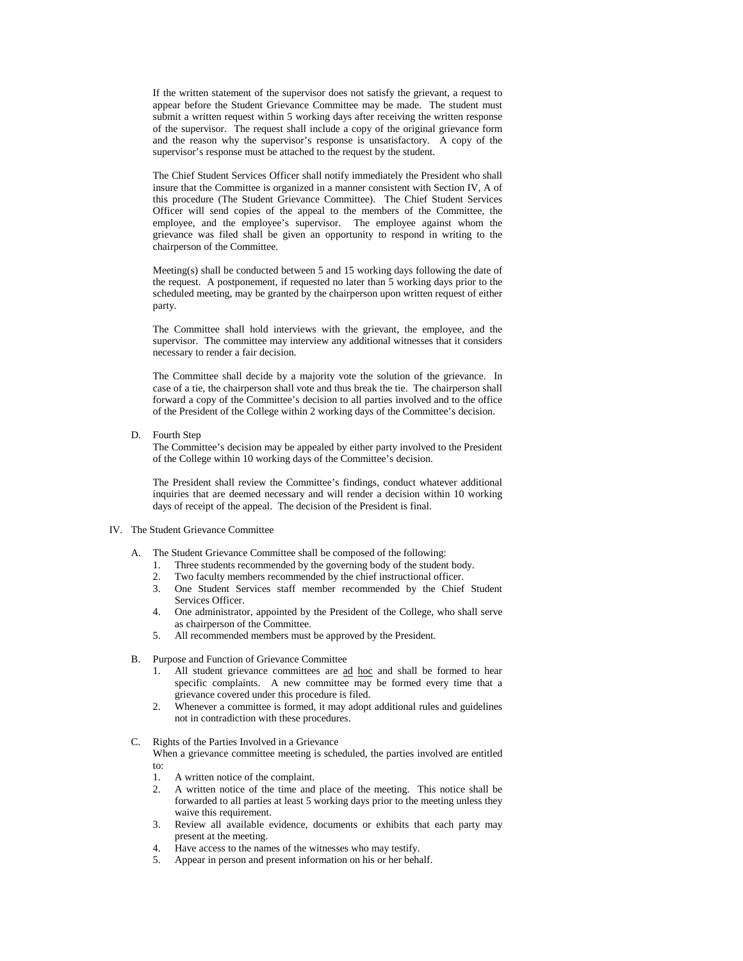If the written statement of the supervisor does not satisfy the grievant, a request to appear before the Student Grievance Committee may be made. The student must submit a written request within 5 working days after receiving the written response of the supervisor. The request shall include a copy of the original grievance form and the reason why the supervisor's response is unsatisfactory. A copy of the supervisor's response must be attached to the request by the student.

 The Chief Student Services Officer shall notify immediately the President who shall insure that the Committee is organized in a manner consistent with Section IV, A of this procedure (The Student Grievance Committee). The Chief Student Services Officer will send copies of the appeal to the members of the Committee, the employee, and the employee's supervisor. The employee against whom the grievance was filed shall be given an opportunity to respond in writing to the chairperson of the Committee.

 Meeting(s) shall be conducted between 5 and 15 working days following the date of the request. A postponement, if requested no later than 5 working days prior to the scheduled meeting, may be granted by the chairperson upon written request of either party.

 The Committee shall hold interviews with the grievant, the employee, and the supervisor. The committee may interview any additional witnesses that it considers necessary to render a fair decision.

 The Committee shall decide by a majority vote the solution of the grievance. In case of a tie, the chairperson shall vote and thus break the tie. The chairperson shall forward a copy of the Committee's decision to all parties involved and to the office of the President of the College within 2 working days of the Committee's decision.

D. Fourth Step

 The Committee's decision may be appealed by either party involved to the President of the College within 10 working days of the Committee's decision.

 The President shall review the Committee's findings, conduct whatever additional inquiries that are deemed necessary and will render a decision within 10 working days of receipt of the appeal. The decision of the President is final.

# IV. The Student Grievance Committee

- A. The Student Grievance Committee shall be composed of the following:
	- 1. Three students recommended by the governing body of the student body.
	- 2. Two faculty members recommended by the chief instructional officer.
	- 3. One Student Services staff member recommended by the Chief Student Services Officer.
	- 4. One administrator, appointed by the President of the College, who shall serve as chairperson of the Committee.
	- 5. All recommended members must be approved by the President.
- B. Purpose and Function of Grievance Committee
	- 1. All student grievance committees are ad hoc and shall be formed to hear specific complaints. A new committee may be formed every time that a grievance covered under this procedure is filed.
	- 2. Whenever a committee is formed, it may adopt additional rules and guidelines not in contradiction with these procedures.
- C. Rights of the Parties Involved in a Grievance
	- When a grievance committee meeting is scheduled, the parties involved are entitled to:
		- 1. A written notice of the complaint.
		- 2. A written notice of the time and place of the meeting. This notice shall be forwarded to all parties at least 5 working days prior to the meeting unless they waive this requirement.
		- 3. Review all available evidence, documents or exhibits that each party may present at the meeting.
		- 4. Have access to the names of the witnesses who may testify.
		- 5. Appear in person and present information on his or her behalf.